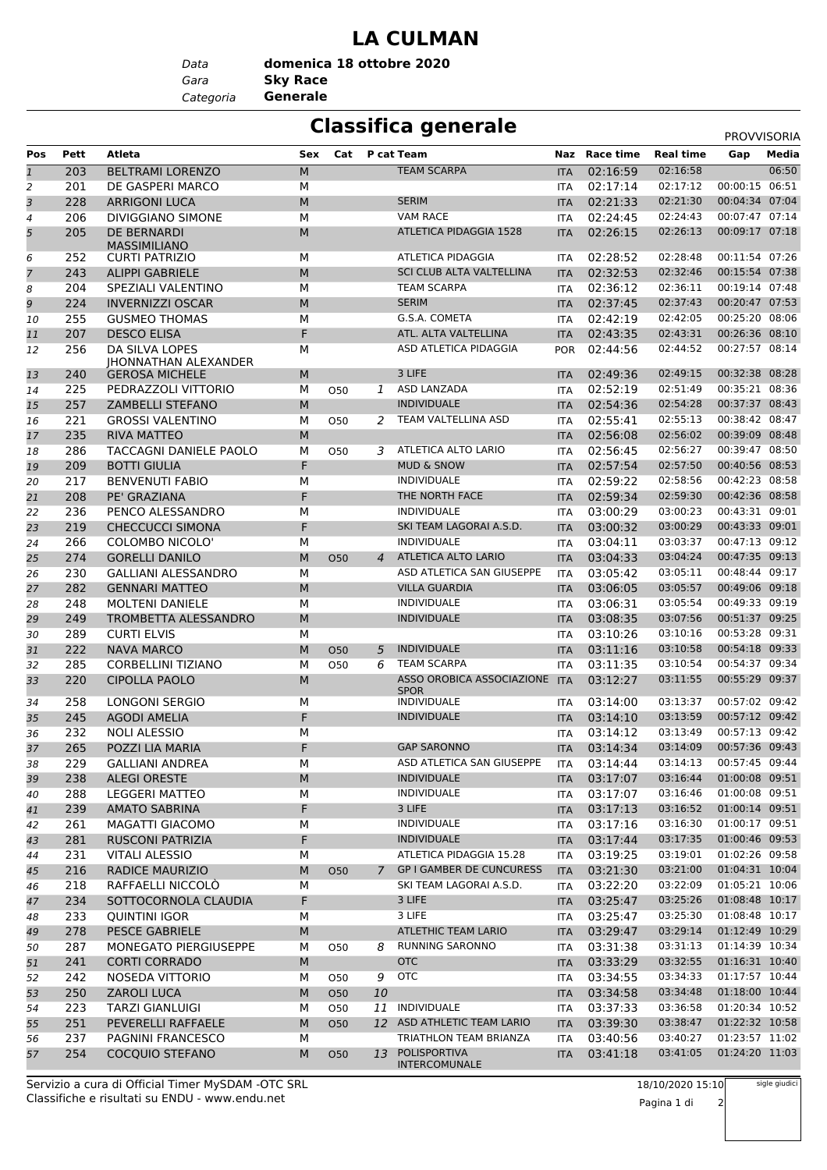### **LA CULMAN**

*Gara* **Sky Race** *Data Categoria* **Generale domenica 18 ottobre 2020**

# **Classifica generale** PROVVISORIA

| <b>Media</b><br>Pos<br>Pett<br>Atleta<br>Cat<br>P cat Team<br>Naz Race time<br><b>Real time</b><br>Sex<br>Gap<br><b>TEAM SCARPA</b><br>06:50<br>$\mathbf{1}$<br>203<br><b>BELTRAMI LORENZO</b><br>M<br>02:16:59<br>02:16:58<br><b>ITA</b><br>00:00:15 06:51<br>02:17:12<br>$\overline{2}$<br>201<br>DE GASPERI MARCO<br>M<br>02:17:14<br><b>ITA</b><br>3<br><b>SERIM</b><br>07:04<br>02:21:30<br>00:04:34<br>228<br><b>ARRIGONI LUCA</b><br>M<br>02:21:33<br><b>ITA</b><br><b>VAM RACE</b><br>02:24:43<br>00:07:47 07:14<br>206<br><b>DIVIGGIANO SIMONE</b><br>М<br>02:24:45<br>$\overline{4}$<br><b>ITA</b><br>00:09:17 07:18<br>5<br>205<br>DE BERNARDI<br><b>ATLETICA PIDAGGIA 1528</b><br>02:26:13<br>M<br>02:26:15<br><b>ITA</b><br><b>MASSIMILIANO</b><br><b>ATLETICA PIDAGGIA</b><br>02:28:48<br>00:11:54 07:26<br><b>CURTI PATRIZIO</b><br>02:28:52<br>252<br>М<br>6<br>ITA<br>$\overline{7}$<br><b>SCI CLUB ALTA VALTELLINA</b><br>02:32:46<br>00:15:54 07:38<br>243<br>M<br>02:32:53<br><b>ALIPPI GABRIELE</b><br><b>ITA</b><br>00:19:14 07:48<br>8<br>204<br>М<br><b>TEAM SCARPA</b><br>02:36:12<br>02:36:11<br>SPEZIALI VALENTINO<br><b>ITA</b><br>9<br>00:20:47 07:53<br><b>SERIM</b><br>02:37:43<br>224<br><b>INVERNIZZI OSCAR</b><br>M<br>02:37:45<br><b>ITA</b><br>02:42:05<br>00:25:20 08:06<br>255<br><b>GUSMEO THOMAS</b><br>М<br>G.S.A. COMETA<br>02:42:19<br>10<br><b>ITA</b><br>F<br>00:26:36 08:10<br>207<br><b>DESCO ELISA</b><br>ATL. ALTA VALTELLINA<br>02:43:35<br>02:43:31<br>11<br><b>ITA</b><br>00:27:57 08:14<br>ASD ATLETICA PIDAGGIA<br>02:44:52<br>256<br>DA SILVA LOPES<br>М<br>02:44:56<br><b>POR</b><br>12<br><b>IHONNATHAN ALEXANDER</b><br>3 LIFE<br>00:32:38 08:28<br>02:49:15<br>240<br><b>GEROSA MICHELE</b><br>М<br>02:49:36<br>13<br><b>ITA</b><br>02:51:49<br>00:35:21 08:36<br>225<br>PEDRAZZOLI VITTORIO<br>ASD LANZADA<br>02:52:19<br>14<br>М<br>050<br>1<br><b>ITA</b><br>00:37:37 08:43<br>257<br>M<br><b>INDIVIDUALE</b><br>02:54:36<br>02:54:28<br>15<br><b>ZAMBELLI STEFANO</b><br><b>ITA</b><br>00:38:42 08:47<br>TEAM VALTELLINA ASD<br>02:55:13<br>221<br><b>GROSSI VALENTINO</b><br>02:55:41<br>М<br>O50<br>2<br>16<br><b>ITA</b><br>235<br>02:56:02<br>00:39:09 08:48<br><b>RIVA MATTEO</b><br>M<br>02:56:08<br>17<br><b>ITA</b><br>00:39:47 08:50<br>286<br>TACCAGNI DANIELE PAOLO<br>М<br>3 ATLETICA ALTO LARIO<br>02:56:45<br>02:56:27<br>18<br>050<br><b>ITA</b><br>F<br>00:40:56 08:53<br><b>MUD &amp; SNOW</b><br>02:57:50<br>209<br><b>BOTTI GIULIA</b><br>02:57:54<br>19<br><b>ITA</b><br>02:58:56<br>00:42:23 08:58<br>217<br><b>BENVENUTI FABIO</b><br>М<br><b>INDIVIDUALE</b><br>02:59:22<br>20<br>ITA<br>F<br>00:42:36 08:58<br>21<br>208<br>PE' GRAZIANA<br>THE NORTH FACE<br>02:59:34<br>02:59:30<br><b>ITA</b><br>00:43:31 09:01<br><b>INDIVIDUALE</b><br>03:00:23<br>236<br>PENCO ALESSANDRO<br>M<br>03:00:29<br>22<br><b>ITA</b><br>F<br>SKI TEAM LAGORAI A.S.D.<br>03:00:29<br>00:43:33 09:01<br>219<br><b>CHECCUCCI SIMONA</b><br>03:00:32<br>23<br><b>ITA</b><br><b>INDIVIDUALE</b><br>00:47:13 09:12<br>266<br><b>COLOMBO NICOLO'</b><br>03:04:11<br>03:03:37<br>24<br>М<br><b>ITA</b><br>00:47:35 09:13<br>ATLETICA ALTO LARIO<br>03:04:24<br>274<br><b>GORELLI DANILO</b><br>M<br>03:04:33<br>25<br><b>ITA</b><br><b>O50</b><br>4<br>M<br>03:05:11<br>00:48:44 09:17<br>230<br><b>GALLIANI ALESSANDRO</b><br>ASD ATLETICA SAN GIUSEPPE<br>03:05:42<br>26<br><b>ITA</b><br>27<br>282<br><b>GENNARI MATTEO</b><br>M<br><b>VILLA GUARDIA</b><br>03:06:05<br>03:05:57<br>00:49:06 09:18<br><b>ITA</b><br>00:49:33 09:19<br><b>INDIVIDUALE</b><br>03:05:54<br>248<br><b>MOLTENI DANIELE</b><br>03:06:31<br>28<br>М<br>ITA<br><b>INDIVIDUALE</b><br>00:51:37 09:25<br>249<br>M<br>03:08:35<br>03:07:56<br>29<br>TROMBETTA ALESSANDRO<br><b>ITA</b><br>00:53:28 09:31<br>03:10:16<br>289<br><b>CURTI ELVIS</b><br>03:10:26<br>30<br>М<br><b>ITA</b><br>00:54:18 09:33<br>222<br><b>INDIVIDUALE</b><br>03:10:58<br><b>NAVA MARCO</b><br>M<br>03:11:16<br><b>O50</b><br>5<br><b>ITA</b><br>31<br>00:54:37 09:34<br>285<br>М<br><b>TEAM SCARPA</b><br>03:11:35<br>03:10:54<br>32<br><b>CORBELLINI TIZIANO</b><br>050<br>6<br><b>ITA</b><br>ASSO OROBICA ASSOCIAZIONE ITA<br>03:11:55<br>00:55:29 09:37<br>33<br>220<br><b>CIPOLLA PAOLO</b><br>M<br>03:12:27<br><b>SPOR</b><br>00:57:02 09:42<br>LONGONI SERGIO<br><b>INDIVIDUALE</b><br>03:13:37<br>258<br>М<br>03:14:00<br>34<br><b>ITA</b><br>F<br><b>INDIVIDUALE</b><br>03:13:59<br>00:57:12 09:42<br>245<br><b>AGODI AMELIA</b><br>03:14:10<br>35<br><b>ITA</b><br>00:57:13 09:42<br>03:13:49<br>232<br><b>NOLI ALESSIO</b><br>М<br>03:14:12<br>36<br><b>ITA</b><br>265<br>F<br>03:14:09<br>00:57:36 09:43<br>POZZI LIA MARIA<br><b>GAP SARONNO</b><br>03:14:34<br>37<br><b>ITA</b><br>00:57:45 09:44<br>229<br>03:14:13<br><b>GALLIANI ANDREA</b><br>М<br>ASD ATLETICA SAN GIUSEPPE<br>ITA 03:14:44<br>38<br><b>INDIVIDUALE</b><br>03:16:44<br>01:00:08 09:51<br><b>ALEGI ORESTE</b><br>238<br>M<br>03:17:07<br>39<br><b>ITA</b><br>01:00:08 09:51<br>М<br><b>INDIVIDUALE</b><br>03:16:46<br>288<br><b>LEGGERI MATTEO</b><br>03:17:07<br>ITA<br>40<br>F<br>3 LIFE<br>03:16:52<br>01:00:14 09:51<br>239<br><b>AMATO SABRINA</b><br>03:17:13<br><b>ITA</b><br>41<br>INDIVIDUALE<br>03:16:30<br>01:00:17 09:51<br>261<br>М<br>MAGATTI GIACOMO<br>03:17:16<br>42<br>ITA<br>F<br>01:00:46 09:53<br>281<br><b>INDIVIDUALE</b><br>03:17:44<br>03:17:35<br><b>RUSCONI PATRIZIA</b><br>43<br><b>ITA</b><br>ATLETICA PIDAGGIA 15.28<br>03:19:01<br>01:02:26 09:58<br>231<br><b>VITALI ALESSIO</b><br>03:19:25<br>М<br>ITA<br>44<br><b>GP I GAMBER DE CUNCURESS</b><br>03:21:00<br>01:04:31 10:04<br>М<br>216<br><b>RADICE MAURIZIO</b><br>03:21:30<br>45<br><b>O50</b><br>7<br><b>ITA</b><br>01:05:21 10:06<br>М<br>SKI TEAM LAGORAI A.S.D.<br>03:22:09<br>218<br>RAFFAELLI NICCOLO<br>03:22:20<br>ITA<br>46<br>F<br>3 LIFE<br>03:25:26<br>01:08:48 10:17<br>234<br>SOTTOCORNOLA CLAUDIA<br>03:25:47<br>47<br><b>ITA</b><br>01:08:48 10:17<br>233<br>3 LIFE<br>03:25:30<br><b>QUINTINI IGOR</b><br>М<br>03:25:47<br>48<br>ITA<br>278<br><b>ATLETHIC TEAM LARIO</b><br>03:29:14<br>01:12:49 10:29<br><b>PESCE GABRIELE</b><br>M<br>03:29:47<br><b>ITA</b><br>49<br>01:14:39 10:34<br>287<br><b>RUNNING SARONNO</b><br>03:31:38<br>03:31:13<br>50<br>MONEGATO PIERGIUSEPPE<br>М<br>050<br>8<br>ITA<br><b>OTC</b><br>03:32:55<br>01:16:31 10:40<br>241<br><b>CORTI CORRADO</b><br>M<br>03:33:29<br>51<br><b>ITA</b><br>01:17:57 10:44<br><b>OTC</b><br>03:34:33<br>242<br>NOSEDA VITTORIO<br>9<br>03:34:55<br>М<br>52<br>050<br><b>ITA</b><br>01:18:00 10:44<br>250<br>03:34:48<br><b>ZAROLI LUCA</b><br>М<br><b>O50</b><br>10<br>03:34:58<br>53<br><b>ITA</b><br>01:20:34 10:52<br>223<br>INDIVIDUALE<br>03:36:58<br><b>TARZI GIANLUIGI</b><br>М<br>11<br>03:37:33<br>050<br>54<br>ITA<br>01:22:32 10:58<br>251<br>12 ASD ATHLETIC TEAM LARIO<br>03:38:47<br>PEVERELLI RAFFAELE<br>M<br>03:39:30<br><b>O50</b><br><b>ITA</b><br>55<br>01:23:57 11:02<br>237<br>PAGNINI FRANCESCO<br>TRIATHLON TEAM BRIANZA<br>03:40:56<br>03:40:27<br>М<br>56<br><b>ITA</b><br>01:24:20 11:03<br>254<br>POLISPORTIVA<br>03:41:05<br>COCQUIO STEFANO<br>М<br>13<br>03:41:18<br>57<br><b>O50</b><br><b>ITA</b><br><b>INTERCOMUNALE</b> |  |  |  |  |  |  |
|---------------------------------------------------------------------------------------------------------------------------------------------------------------------------------------------------------------------------------------------------------------------------------------------------------------------------------------------------------------------------------------------------------------------------------------------------------------------------------------------------------------------------------------------------------------------------------------------------------------------------------------------------------------------------------------------------------------------------------------------------------------------------------------------------------------------------------------------------------------------------------------------------------------------------------------------------------------------------------------------------------------------------------------------------------------------------------------------------------------------------------------------------------------------------------------------------------------------------------------------------------------------------------------------------------------------------------------------------------------------------------------------------------------------------------------------------------------------------------------------------------------------------------------------------------------------------------------------------------------------------------------------------------------------------------------------------------------------------------------------------------------------------------------------------------------------------------------------------------------------------------------------------------------------------------------------------------------------------------------------------------------------------------------------------------------------------------------------------------------------------------------------------------------------------------------------------------------------------------------------------------------------------------------------------------------------------------------------------------------------------------------------------------------------------------------------------------------------------------------------------------------------------------------------------------------------------------------------------------------------------------------------------------------------------------------------------------------------------------------------------------------------------------------------------------------------------------------------------------------------------------------------------------------------------------------------------------------------------------------------------------------------------------------------------------------------------------------------------------------------------------------------------------------------------------------------------------------------------------------------------------------------------------------------------------------------------------------------------------------------------------------------------------------------------------------------------------------------------------------------------------------------------------------------------------------------------------------------------------------------------------------------------------------------------------------------------------------------------------------------------------------------------------------------------------------------------------------------------------------------------------------------------------------------------------------------------------------------------------------------------------------------------------------------------------------------------------------------------------------------------------------------------------------------------------------------------------------------------------------------------------------------------------------------------------------------------------------------------------------------------------------------------------------------------------------------------------------------------------------------------------------------------------------------------------------------------------------------------------------------------------------------------------------------------------------------------------------------------------------------------------------------------------------------------------------------------------------------------------------------------------------------------------------------------------------------------------------------------------------------------------------------------------------------------------------------------------------------------------------------------------------------------------------------------------------------------------------------------------------------------------------------------------------------------------------------------------------------------------------------------------------------------------------------------------------------------------------------------------------------------------------------------------------------------------------------------------------------------------------------------------------------------------------------------------------------------------------------------------------------------------------------------------------------------------------------------------------------------------------------------------------------------------------------------------------------------------------------------------------------------------------------------------------------------------------------------------------------------------------------------------------------------------------------------------------------------------------------------------------------------------------------------------------------------------------------------------------------------------------------------------------------------------------------------------------------------------------------------------------------------------------------------------------------------------------------------------------------------------------------------------------------------------------------------------------------------------------------------------------------------------------------------------------------------------------------------------------------------------------------------------------------------------------------------------------------------------------------------------------------------------------------------------------------------------------------------------------------------------------------------------------------------------------------------------------------------------------------------------------------------------------------------------------------------------------------------------------|--|--|--|--|--|--|
|                                                                                                                                                                                                                                                                                                                                                                                                                                                                                                                                                                                                                                                                                                                                                                                                                                                                                                                                                                                                                                                                                                                                                                                                                                                                                                                                                                                                                                                                                                                                                                                                                                                                                                                                                                                                                                                                                                                                                                                                                                                                                                                                                                                                                                                                                                                                                                                                                                                                                                                                                                                                                                                                                                                                                                                                                                                                                                                                                                                                                                                                                                                                                                                                                                                                                                                                                                                                                                                                                                                                                                                                                                                                                                                                                                                                                                                                                                                                                                                                                                                                                                                                                                                                                                                                                                                                                                                                                                                                                                                                                                                                                                                                                                                                                                                                                                                                                                                                                                                                                                                                                                                                                                                                                                                                                                                                                                                                                                                                                                                                                                                                                                                                                                                                                                                                                                                                                                                                                                                                                                                                                                                                                                                                                                                                                                                                                                                                                                                                                                                                                                                                                                                                                                                                                                                                                                                                                                                                                                                                                                                                                                                                                                                                                                                                                                                                       |  |  |  |  |  |  |
|                                                                                                                                                                                                                                                                                                                                                                                                                                                                                                                                                                                                                                                                                                                                                                                                                                                                                                                                                                                                                                                                                                                                                                                                                                                                                                                                                                                                                                                                                                                                                                                                                                                                                                                                                                                                                                                                                                                                                                                                                                                                                                                                                                                                                                                                                                                                                                                                                                                                                                                                                                                                                                                                                                                                                                                                                                                                                                                                                                                                                                                                                                                                                                                                                                                                                                                                                                                                                                                                                                                                                                                                                                                                                                                                                                                                                                                                                                                                                                                                                                                                                                                                                                                                                                                                                                                                                                                                                                                                                                                                                                                                                                                                                                                                                                                                                                                                                                                                                                                                                                                                                                                                                                                                                                                                                                                                                                                                                                                                                                                                                                                                                                                                                                                                                                                                                                                                                                                                                                                                                                                                                                                                                                                                                                                                                                                                                                                                                                                                                                                                                                                                                                                                                                                                                                                                                                                                                                                                                                                                                                                                                                                                                                                                                                                                                                                                       |  |  |  |  |  |  |
|                                                                                                                                                                                                                                                                                                                                                                                                                                                                                                                                                                                                                                                                                                                                                                                                                                                                                                                                                                                                                                                                                                                                                                                                                                                                                                                                                                                                                                                                                                                                                                                                                                                                                                                                                                                                                                                                                                                                                                                                                                                                                                                                                                                                                                                                                                                                                                                                                                                                                                                                                                                                                                                                                                                                                                                                                                                                                                                                                                                                                                                                                                                                                                                                                                                                                                                                                                                                                                                                                                                                                                                                                                                                                                                                                                                                                                                                                                                                                                                                                                                                                                                                                                                                                                                                                                                                                                                                                                                                                                                                                                                                                                                                                                                                                                                                                                                                                                                                                                                                                                                                                                                                                                                                                                                                                                                                                                                                                                                                                                                                                                                                                                                                                                                                                                                                                                                                                                                                                                                                                                                                                                                                                                                                                                                                                                                                                                                                                                                                                                                                                                                                                                                                                                                                                                                                                                                                                                                                                                                                                                                                                                                                                                                                                                                                                                                                       |  |  |  |  |  |  |
|                                                                                                                                                                                                                                                                                                                                                                                                                                                                                                                                                                                                                                                                                                                                                                                                                                                                                                                                                                                                                                                                                                                                                                                                                                                                                                                                                                                                                                                                                                                                                                                                                                                                                                                                                                                                                                                                                                                                                                                                                                                                                                                                                                                                                                                                                                                                                                                                                                                                                                                                                                                                                                                                                                                                                                                                                                                                                                                                                                                                                                                                                                                                                                                                                                                                                                                                                                                                                                                                                                                                                                                                                                                                                                                                                                                                                                                                                                                                                                                                                                                                                                                                                                                                                                                                                                                                                                                                                                                                                                                                                                                                                                                                                                                                                                                                                                                                                                                                                                                                                                                                                                                                                                                                                                                                                                                                                                                                                                                                                                                                                                                                                                                                                                                                                                                                                                                                                                                                                                                                                                                                                                                                                                                                                                                                                                                                                                                                                                                                                                                                                                                                                                                                                                                                                                                                                                                                                                                                                                                                                                                                                                                                                                                                                                                                                                                                       |  |  |  |  |  |  |
|                                                                                                                                                                                                                                                                                                                                                                                                                                                                                                                                                                                                                                                                                                                                                                                                                                                                                                                                                                                                                                                                                                                                                                                                                                                                                                                                                                                                                                                                                                                                                                                                                                                                                                                                                                                                                                                                                                                                                                                                                                                                                                                                                                                                                                                                                                                                                                                                                                                                                                                                                                                                                                                                                                                                                                                                                                                                                                                                                                                                                                                                                                                                                                                                                                                                                                                                                                                                                                                                                                                                                                                                                                                                                                                                                                                                                                                                                                                                                                                                                                                                                                                                                                                                                                                                                                                                                                                                                                                                                                                                                                                                                                                                                                                                                                                                                                                                                                                                                                                                                                                                                                                                                                                                                                                                                                                                                                                                                                                                                                                                                                                                                                                                                                                                                                                                                                                                                                                                                                                                                                                                                                                                                                                                                                                                                                                                                                                                                                                                                                                                                                                                                                                                                                                                                                                                                                                                                                                                                                                                                                                                                                                                                                                                                                                                                                                                       |  |  |  |  |  |  |
|                                                                                                                                                                                                                                                                                                                                                                                                                                                                                                                                                                                                                                                                                                                                                                                                                                                                                                                                                                                                                                                                                                                                                                                                                                                                                                                                                                                                                                                                                                                                                                                                                                                                                                                                                                                                                                                                                                                                                                                                                                                                                                                                                                                                                                                                                                                                                                                                                                                                                                                                                                                                                                                                                                                                                                                                                                                                                                                                                                                                                                                                                                                                                                                                                                                                                                                                                                                                                                                                                                                                                                                                                                                                                                                                                                                                                                                                                                                                                                                                                                                                                                                                                                                                                                                                                                                                                                                                                                                                                                                                                                                                                                                                                                                                                                                                                                                                                                                                                                                                                                                                                                                                                                                                                                                                                                                                                                                                                                                                                                                                                                                                                                                                                                                                                                                                                                                                                                                                                                                                                                                                                                                                                                                                                                                                                                                                                                                                                                                                                                                                                                                                                                                                                                                                                                                                                                                                                                                                                                                                                                                                                                                                                                                                                                                                                                                                       |  |  |  |  |  |  |
|                                                                                                                                                                                                                                                                                                                                                                                                                                                                                                                                                                                                                                                                                                                                                                                                                                                                                                                                                                                                                                                                                                                                                                                                                                                                                                                                                                                                                                                                                                                                                                                                                                                                                                                                                                                                                                                                                                                                                                                                                                                                                                                                                                                                                                                                                                                                                                                                                                                                                                                                                                                                                                                                                                                                                                                                                                                                                                                                                                                                                                                                                                                                                                                                                                                                                                                                                                                                                                                                                                                                                                                                                                                                                                                                                                                                                                                                                                                                                                                                                                                                                                                                                                                                                                                                                                                                                                                                                                                                                                                                                                                                                                                                                                                                                                                                                                                                                                                                                                                                                                                                                                                                                                                                                                                                                                                                                                                                                                                                                                                                                                                                                                                                                                                                                                                                                                                                                                                                                                                                                                                                                                                                                                                                                                                                                                                                                                                                                                                                                                                                                                                                                                                                                                                                                                                                                                                                                                                                                                                                                                                                                                                                                                                                                                                                                                                                       |  |  |  |  |  |  |
|                                                                                                                                                                                                                                                                                                                                                                                                                                                                                                                                                                                                                                                                                                                                                                                                                                                                                                                                                                                                                                                                                                                                                                                                                                                                                                                                                                                                                                                                                                                                                                                                                                                                                                                                                                                                                                                                                                                                                                                                                                                                                                                                                                                                                                                                                                                                                                                                                                                                                                                                                                                                                                                                                                                                                                                                                                                                                                                                                                                                                                                                                                                                                                                                                                                                                                                                                                                                                                                                                                                                                                                                                                                                                                                                                                                                                                                                                                                                                                                                                                                                                                                                                                                                                                                                                                                                                                                                                                                                                                                                                                                                                                                                                                                                                                                                                                                                                                                                                                                                                                                                                                                                                                                                                                                                                                                                                                                                                                                                                                                                                                                                                                                                                                                                                                                                                                                                                                                                                                                                                                                                                                                                                                                                                                                                                                                                                                                                                                                                                                                                                                                                                                                                                                                                                                                                                                                                                                                                                                                                                                                                                                                                                                                                                                                                                                                                       |  |  |  |  |  |  |
|                                                                                                                                                                                                                                                                                                                                                                                                                                                                                                                                                                                                                                                                                                                                                                                                                                                                                                                                                                                                                                                                                                                                                                                                                                                                                                                                                                                                                                                                                                                                                                                                                                                                                                                                                                                                                                                                                                                                                                                                                                                                                                                                                                                                                                                                                                                                                                                                                                                                                                                                                                                                                                                                                                                                                                                                                                                                                                                                                                                                                                                                                                                                                                                                                                                                                                                                                                                                                                                                                                                                                                                                                                                                                                                                                                                                                                                                                                                                                                                                                                                                                                                                                                                                                                                                                                                                                                                                                                                                                                                                                                                                                                                                                                                                                                                                                                                                                                                                                                                                                                                                                                                                                                                                                                                                                                                                                                                                                                                                                                                                                                                                                                                                                                                                                                                                                                                                                                                                                                                                                                                                                                                                                                                                                                                                                                                                                                                                                                                                                                                                                                                                                                                                                                                                                                                                                                                                                                                                                                                                                                                                                                                                                                                                                                                                                                                                       |  |  |  |  |  |  |
|                                                                                                                                                                                                                                                                                                                                                                                                                                                                                                                                                                                                                                                                                                                                                                                                                                                                                                                                                                                                                                                                                                                                                                                                                                                                                                                                                                                                                                                                                                                                                                                                                                                                                                                                                                                                                                                                                                                                                                                                                                                                                                                                                                                                                                                                                                                                                                                                                                                                                                                                                                                                                                                                                                                                                                                                                                                                                                                                                                                                                                                                                                                                                                                                                                                                                                                                                                                                                                                                                                                                                                                                                                                                                                                                                                                                                                                                                                                                                                                                                                                                                                                                                                                                                                                                                                                                                                                                                                                                                                                                                                                                                                                                                                                                                                                                                                                                                                                                                                                                                                                                                                                                                                                                                                                                                                                                                                                                                                                                                                                                                                                                                                                                                                                                                                                                                                                                                                                                                                                                                                                                                                                                                                                                                                                                                                                                                                                                                                                                                                                                                                                                                                                                                                                                                                                                                                                                                                                                                                                                                                                                                                                                                                                                                                                                                                                                       |  |  |  |  |  |  |
|                                                                                                                                                                                                                                                                                                                                                                                                                                                                                                                                                                                                                                                                                                                                                                                                                                                                                                                                                                                                                                                                                                                                                                                                                                                                                                                                                                                                                                                                                                                                                                                                                                                                                                                                                                                                                                                                                                                                                                                                                                                                                                                                                                                                                                                                                                                                                                                                                                                                                                                                                                                                                                                                                                                                                                                                                                                                                                                                                                                                                                                                                                                                                                                                                                                                                                                                                                                                                                                                                                                                                                                                                                                                                                                                                                                                                                                                                                                                                                                                                                                                                                                                                                                                                                                                                                                                                                                                                                                                                                                                                                                                                                                                                                                                                                                                                                                                                                                                                                                                                                                                                                                                                                                                                                                                                                                                                                                                                                                                                                                                                                                                                                                                                                                                                                                                                                                                                                                                                                                                                                                                                                                                                                                                                                                                                                                                                                                                                                                                                                                                                                                                                                                                                                                                                                                                                                                                                                                                                                                                                                                                                                                                                                                                                                                                                                                                       |  |  |  |  |  |  |
|                                                                                                                                                                                                                                                                                                                                                                                                                                                                                                                                                                                                                                                                                                                                                                                                                                                                                                                                                                                                                                                                                                                                                                                                                                                                                                                                                                                                                                                                                                                                                                                                                                                                                                                                                                                                                                                                                                                                                                                                                                                                                                                                                                                                                                                                                                                                                                                                                                                                                                                                                                                                                                                                                                                                                                                                                                                                                                                                                                                                                                                                                                                                                                                                                                                                                                                                                                                                                                                                                                                                                                                                                                                                                                                                                                                                                                                                                                                                                                                                                                                                                                                                                                                                                                                                                                                                                                                                                                                                                                                                                                                                                                                                                                                                                                                                                                                                                                                                                                                                                                                                                                                                                                                                                                                                                                                                                                                                                                                                                                                                                                                                                                                                                                                                                                                                                                                                                                                                                                                                                                                                                                                                                                                                                                                                                                                                                                                                                                                                                                                                                                                                                                                                                                                                                                                                                                                                                                                                                                                                                                                                                                                                                                                                                                                                                                                                       |  |  |  |  |  |  |
|                                                                                                                                                                                                                                                                                                                                                                                                                                                                                                                                                                                                                                                                                                                                                                                                                                                                                                                                                                                                                                                                                                                                                                                                                                                                                                                                                                                                                                                                                                                                                                                                                                                                                                                                                                                                                                                                                                                                                                                                                                                                                                                                                                                                                                                                                                                                                                                                                                                                                                                                                                                                                                                                                                                                                                                                                                                                                                                                                                                                                                                                                                                                                                                                                                                                                                                                                                                                                                                                                                                                                                                                                                                                                                                                                                                                                                                                                                                                                                                                                                                                                                                                                                                                                                                                                                                                                                                                                                                                                                                                                                                                                                                                                                                                                                                                                                                                                                                                                                                                                                                                                                                                                                                                                                                                                                                                                                                                                                                                                                                                                                                                                                                                                                                                                                                                                                                                                                                                                                                                                                                                                                                                                                                                                                                                                                                                                                                                                                                                                                                                                                                                                                                                                                                                                                                                                                                                                                                                                                                                                                                                                                                                                                                                                                                                                                                                       |  |  |  |  |  |  |
|                                                                                                                                                                                                                                                                                                                                                                                                                                                                                                                                                                                                                                                                                                                                                                                                                                                                                                                                                                                                                                                                                                                                                                                                                                                                                                                                                                                                                                                                                                                                                                                                                                                                                                                                                                                                                                                                                                                                                                                                                                                                                                                                                                                                                                                                                                                                                                                                                                                                                                                                                                                                                                                                                                                                                                                                                                                                                                                                                                                                                                                                                                                                                                                                                                                                                                                                                                                                                                                                                                                                                                                                                                                                                                                                                                                                                                                                                                                                                                                                                                                                                                                                                                                                                                                                                                                                                                                                                                                                                                                                                                                                                                                                                                                                                                                                                                                                                                                                                                                                                                                                                                                                                                                                                                                                                                                                                                                                                                                                                                                                                                                                                                                                                                                                                                                                                                                                                                                                                                                                                                                                                                                                                                                                                                                                                                                                                                                                                                                                                                                                                                                                                                                                                                                                                                                                                                                                                                                                                                                                                                                                                                                                                                                                                                                                                                                                       |  |  |  |  |  |  |
|                                                                                                                                                                                                                                                                                                                                                                                                                                                                                                                                                                                                                                                                                                                                                                                                                                                                                                                                                                                                                                                                                                                                                                                                                                                                                                                                                                                                                                                                                                                                                                                                                                                                                                                                                                                                                                                                                                                                                                                                                                                                                                                                                                                                                                                                                                                                                                                                                                                                                                                                                                                                                                                                                                                                                                                                                                                                                                                                                                                                                                                                                                                                                                                                                                                                                                                                                                                                                                                                                                                                                                                                                                                                                                                                                                                                                                                                                                                                                                                                                                                                                                                                                                                                                                                                                                                                                                                                                                                                                                                                                                                                                                                                                                                                                                                                                                                                                                                                                                                                                                                                                                                                                                                                                                                                                                                                                                                                                                                                                                                                                                                                                                                                                                                                                                                                                                                                                                                                                                                                                                                                                                                                                                                                                                                                                                                                                                                                                                                                                                                                                                                                                                                                                                                                                                                                                                                                                                                                                                                                                                                                                                                                                                                                                                                                                                                                       |  |  |  |  |  |  |
|                                                                                                                                                                                                                                                                                                                                                                                                                                                                                                                                                                                                                                                                                                                                                                                                                                                                                                                                                                                                                                                                                                                                                                                                                                                                                                                                                                                                                                                                                                                                                                                                                                                                                                                                                                                                                                                                                                                                                                                                                                                                                                                                                                                                                                                                                                                                                                                                                                                                                                                                                                                                                                                                                                                                                                                                                                                                                                                                                                                                                                                                                                                                                                                                                                                                                                                                                                                                                                                                                                                                                                                                                                                                                                                                                                                                                                                                                                                                                                                                                                                                                                                                                                                                                                                                                                                                                                                                                                                                                                                                                                                                                                                                                                                                                                                                                                                                                                                                                                                                                                                                                                                                                                                                                                                                                                                                                                                                                                                                                                                                                                                                                                                                                                                                                                                                                                                                                                                                                                                                                                                                                                                                                                                                                                                                                                                                                                                                                                                                                                                                                                                                                                                                                                                                                                                                                                                                                                                                                                                                                                                                                                                                                                                                                                                                                                                                       |  |  |  |  |  |  |
|                                                                                                                                                                                                                                                                                                                                                                                                                                                                                                                                                                                                                                                                                                                                                                                                                                                                                                                                                                                                                                                                                                                                                                                                                                                                                                                                                                                                                                                                                                                                                                                                                                                                                                                                                                                                                                                                                                                                                                                                                                                                                                                                                                                                                                                                                                                                                                                                                                                                                                                                                                                                                                                                                                                                                                                                                                                                                                                                                                                                                                                                                                                                                                                                                                                                                                                                                                                                                                                                                                                                                                                                                                                                                                                                                                                                                                                                                                                                                                                                                                                                                                                                                                                                                                                                                                                                                                                                                                                                                                                                                                                                                                                                                                                                                                                                                                                                                                                                                                                                                                                                                                                                                                                                                                                                                                                                                                                                                                                                                                                                                                                                                                                                                                                                                                                                                                                                                                                                                                                                                                                                                                                                                                                                                                                                                                                                                                                                                                                                                                                                                                                                                                                                                                                                                                                                                                                                                                                                                                                                                                                                                                                                                                                                                                                                                                                                       |  |  |  |  |  |  |
|                                                                                                                                                                                                                                                                                                                                                                                                                                                                                                                                                                                                                                                                                                                                                                                                                                                                                                                                                                                                                                                                                                                                                                                                                                                                                                                                                                                                                                                                                                                                                                                                                                                                                                                                                                                                                                                                                                                                                                                                                                                                                                                                                                                                                                                                                                                                                                                                                                                                                                                                                                                                                                                                                                                                                                                                                                                                                                                                                                                                                                                                                                                                                                                                                                                                                                                                                                                                                                                                                                                                                                                                                                                                                                                                                                                                                                                                                                                                                                                                                                                                                                                                                                                                                                                                                                                                                                                                                                                                                                                                                                                                                                                                                                                                                                                                                                                                                                                                                                                                                                                                                                                                                                                                                                                                                                                                                                                                                                                                                                                                                                                                                                                                                                                                                                                                                                                                                                                                                                                                                                                                                                                                                                                                                                                                                                                                                                                                                                                                                                                                                                                                                                                                                                                                                                                                                                                                                                                                                                                                                                                                                                                                                                                                                                                                                                                                       |  |  |  |  |  |  |
|                                                                                                                                                                                                                                                                                                                                                                                                                                                                                                                                                                                                                                                                                                                                                                                                                                                                                                                                                                                                                                                                                                                                                                                                                                                                                                                                                                                                                                                                                                                                                                                                                                                                                                                                                                                                                                                                                                                                                                                                                                                                                                                                                                                                                                                                                                                                                                                                                                                                                                                                                                                                                                                                                                                                                                                                                                                                                                                                                                                                                                                                                                                                                                                                                                                                                                                                                                                                                                                                                                                                                                                                                                                                                                                                                                                                                                                                                                                                                                                                                                                                                                                                                                                                                                                                                                                                                                                                                                                                                                                                                                                                                                                                                                                                                                                                                                                                                                                                                                                                                                                                                                                                                                                                                                                                                                                                                                                                                                                                                                                                                                                                                                                                                                                                                                                                                                                                                                                                                                                                                                                                                                                                                                                                                                                                                                                                                                                                                                                                                                                                                                                                                                                                                                                                                                                                                                                                                                                                                                                                                                                                                                                                                                                                                                                                                                                                       |  |  |  |  |  |  |
|                                                                                                                                                                                                                                                                                                                                                                                                                                                                                                                                                                                                                                                                                                                                                                                                                                                                                                                                                                                                                                                                                                                                                                                                                                                                                                                                                                                                                                                                                                                                                                                                                                                                                                                                                                                                                                                                                                                                                                                                                                                                                                                                                                                                                                                                                                                                                                                                                                                                                                                                                                                                                                                                                                                                                                                                                                                                                                                                                                                                                                                                                                                                                                                                                                                                                                                                                                                                                                                                                                                                                                                                                                                                                                                                                                                                                                                                                                                                                                                                                                                                                                                                                                                                                                                                                                                                                                                                                                                                                                                                                                                                                                                                                                                                                                                                                                                                                                                                                                                                                                                                                                                                                                                                                                                                                                                                                                                                                                                                                                                                                                                                                                                                                                                                                                                                                                                                                                                                                                                                                                                                                                                                                                                                                                                                                                                                                                                                                                                                                                                                                                                                                                                                                                                                                                                                                                                                                                                                                                                                                                                                                                                                                                                                                                                                                                                                       |  |  |  |  |  |  |
|                                                                                                                                                                                                                                                                                                                                                                                                                                                                                                                                                                                                                                                                                                                                                                                                                                                                                                                                                                                                                                                                                                                                                                                                                                                                                                                                                                                                                                                                                                                                                                                                                                                                                                                                                                                                                                                                                                                                                                                                                                                                                                                                                                                                                                                                                                                                                                                                                                                                                                                                                                                                                                                                                                                                                                                                                                                                                                                                                                                                                                                                                                                                                                                                                                                                                                                                                                                                                                                                                                                                                                                                                                                                                                                                                                                                                                                                                                                                                                                                                                                                                                                                                                                                                                                                                                                                                                                                                                                                                                                                                                                                                                                                                                                                                                                                                                                                                                                                                                                                                                                                                                                                                                                                                                                                                                                                                                                                                                                                                                                                                                                                                                                                                                                                                                                                                                                                                                                                                                                                                                                                                                                                                                                                                                                                                                                                                                                                                                                                                                                                                                                                                                                                                                                                                                                                                                                                                                                                                                                                                                                                                                                                                                                                                                                                                                                                       |  |  |  |  |  |  |
|                                                                                                                                                                                                                                                                                                                                                                                                                                                                                                                                                                                                                                                                                                                                                                                                                                                                                                                                                                                                                                                                                                                                                                                                                                                                                                                                                                                                                                                                                                                                                                                                                                                                                                                                                                                                                                                                                                                                                                                                                                                                                                                                                                                                                                                                                                                                                                                                                                                                                                                                                                                                                                                                                                                                                                                                                                                                                                                                                                                                                                                                                                                                                                                                                                                                                                                                                                                                                                                                                                                                                                                                                                                                                                                                                                                                                                                                                                                                                                                                                                                                                                                                                                                                                                                                                                                                                                                                                                                                                                                                                                                                                                                                                                                                                                                                                                                                                                                                                                                                                                                                                                                                                                                                                                                                                                                                                                                                                                                                                                                                                                                                                                                                                                                                                                                                                                                                                                                                                                                                                                                                                                                                                                                                                                                                                                                                                                                                                                                                                                                                                                                                                                                                                                                                                                                                                                                                                                                                                                                                                                                                                                                                                                                                                                                                                                                                       |  |  |  |  |  |  |
|                                                                                                                                                                                                                                                                                                                                                                                                                                                                                                                                                                                                                                                                                                                                                                                                                                                                                                                                                                                                                                                                                                                                                                                                                                                                                                                                                                                                                                                                                                                                                                                                                                                                                                                                                                                                                                                                                                                                                                                                                                                                                                                                                                                                                                                                                                                                                                                                                                                                                                                                                                                                                                                                                                                                                                                                                                                                                                                                                                                                                                                                                                                                                                                                                                                                                                                                                                                                                                                                                                                                                                                                                                                                                                                                                                                                                                                                                                                                                                                                                                                                                                                                                                                                                                                                                                                                                                                                                                                                                                                                                                                                                                                                                                                                                                                                                                                                                                                                                                                                                                                                                                                                                                                                                                                                                                                                                                                                                                                                                                                                                                                                                                                                                                                                                                                                                                                                                                                                                                                                                                                                                                                                                                                                                                                                                                                                                                                                                                                                                                                                                                                                                                                                                                                                                                                                                                                                                                                                                                                                                                                                                                                                                                                                                                                                                                                                       |  |  |  |  |  |  |
|                                                                                                                                                                                                                                                                                                                                                                                                                                                                                                                                                                                                                                                                                                                                                                                                                                                                                                                                                                                                                                                                                                                                                                                                                                                                                                                                                                                                                                                                                                                                                                                                                                                                                                                                                                                                                                                                                                                                                                                                                                                                                                                                                                                                                                                                                                                                                                                                                                                                                                                                                                                                                                                                                                                                                                                                                                                                                                                                                                                                                                                                                                                                                                                                                                                                                                                                                                                                                                                                                                                                                                                                                                                                                                                                                                                                                                                                                                                                                                                                                                                                                                                                                                                                                                                                                                                                                                                                                                                                                                                                                                                                                                                                                                                                                                                                                                                                                                                                                                                                                                                                                                                                                                                                                                                                                                                                                                                                                                                                                                                                                                                                                                                                                                                                                                                                                                                                                                                                                                                                                                                                                                                                                                                                                                                                                                                                                                                                                                                                                                                                                                                                                                                                                                                                                                                                                                                                                                                                                                                                                                                                                                                                                                                                                                                                                                                                       |  |  |  |  |  |  |
|                                                                                                                                                                                                                                                                                                                                                                                                                                                                                                                                                                                                                                                                                                                                                                                                                                                                                                                                                                                                                                                                                                                                                                                                                                                                                                                                                                                                                                                                                                                                                                                                                                                                                                                                                                                                                                                                                                                                                                                                                                                                                                                                                                                                                                                                                                                                                                                                                                                                                                                                                                                                                                                                                                                                                                                                                                                                                                                                                                                                                                                                                                                                                                                                                                                                                                                                                                                                                                                                                                                                                                                                                                                                                                                                                                                                                                                                                                                                                                                                                                                                                                                                                                                                                                                                                                                                                                                                                                                                                                                                                                                                                                                                                                                                                                                                                                                                                                                                                                                                                                                                                                                                                                                                                                                                                                                                                                                                                                                                                                                                                                                                                                                                                                                                                                                                                                                                                                                                                                                                                                                                                                                                                                                                                                                                                                                                                                                                                                                                                                                                                                                                                                                                                                                                                                                                                                                                                                                                                                                                                                                                                                                                                                                                                                                                                                                                       |  |  |  |  |  |  |
|                                                                                                                                                                                                                                                                                                                                                                                                                                                                                                                                                                                                                                                                                                                                                                                                                                                                                                                                                                                                                                                                                                                                                                                                                                                                                                                                                                                                                                                                                                                                                                                                                                                                                                                                                                                                                                                                                                                                                                                                                                                                                                                                                                                                                                                                                                                                                                                                                                                                                                                                                                                                                                                                                                                                                                                                                                                                                                                                                                                                                                                                                                                                                                                                                                                                                                                                                                                                                                                                                                                                                                                                                                                                                                                                                                                                                                                                                                                                                                                                                                                                                                                                                                                                                                                                                                                                                                                                                                                                                                                                                                                                                                                                                                                                                                                                                                                                                                                                                                                                                                                                                                                                                                                                                                                                                                                                                                                                                                                                                                                                                                                                                                                                                                                                                                                                                                                                                                                                                                                                                                                                                                                                                                                                                                                                                                                                                                                                                                                                                                                                                                                                                                                                                                                                                                                                                                                                                                                                                                                                                                                                                                                                                                                                                                                                                                                                       |  |  |  |  |  |  |
|                                                                                                                                                                                                                                                                                                                                                                                                                                                                                                                                                                                                                                                                                                                                                                                                                                                                                                                                                                                                                                                                                                                                                                                                                                                                                                                                                                                                                                                                                                                                                                                                                                                                                                                                                                                                                                                                                                                                                                                                                                                                                                                                                                                                                                                                                                                                                                                                                                                                                                                                                                                                                                                                                                                                                                                                                                                                                                                                                                                                                                                                                                                                                                                                                                                                                                                                                                                                                                                                                                                                                                                                                                                                                                                                                                                                                                                                                                                                                                                                                                                                                                                                                                                                                                                                                                                                                                                                                                                                                                                                                                                                                                                                                                                                                                                                                                                                                                                                                                                                                                                                                                                                                                                                                                                                                                                                                                                                                                                                                                                                                                                                                                                                                                                                                                                                                                                                                                                                                                                                                                                                                                                                                                                                                                                                                                                                                                                                                                                                                                                                                                                                                                                                                                                                                                                                                                                                                                                                                                                                                                                                                                                                                                                                                                                                                                                                       |  |  |  |  |  |  |
|                                                                                                                                                                                                                                                                                                                                                                                                                                                                                                                                                                                                                                                                                                                                                                                                                                                                                                                                                                                                                                                                                                                                                                                                                                                                                                                                                                                                                                                                                                                                                                                                                                                                                                                                                                                                                                                                                                                                                                                                                                                                                                                                                                                                                                                                                                                                                                                                                                                                                                                                                                                                                                                                                                                                                                                                                                                                                                                                                                                                                                                                                                                                                                                                                                                                                                                                                                                                                                                                                                                                                                                                                                                                                                                                                                                                                                                                                                                                                                                                                                                                                                                                                                                                                                                                                                                                                                                                                                                                                                                                                                                                                                                                                                                                                                                                                                                                                                                                                                                                                                                                                                                                                                                                                                                                                                                                                                                                                                                                                                                                                                                                                                                                                                                                                                                                                                                                                                                                                                                                                                                                                                                                                                                                                                                                                                                                                                                                                                                                                                                                                                                                                                                                                                                                                                                                                                                                                                                                                                                                                                                                                                                                                                                                                                                                                                                                       |  |  |  |  |  |  |
|                                                                                                                                                                                                                                                                                                                                                                                                                                                                                                                                                                                                                                                                                                                                                                                                                                                                                                                                                                                                                                                                                                                                                                                                                                                                                                                                                                                                                                                                                                                                                                                                                                                                                                                                                                                                                                                                                                                                                                                                                                                                                                                                                                                                                                                                                                                                                                                                                                                                                                                                                                                                                                                                                                                                                                                                                                                                                                                                                                                                                                                                                                                                                                                                                                                                                                                                                                                                                                                                                                                                                                                                                                                                                                                                                                                                                                                                                                                                                                                                                                                                                                                                                                                                                                                                                                                                                                                                                                                                                                                                                                                                                                                                                                                                                                                                                                                                                                                                                                                                                                                                                                                                                                                                                                                                                                                                                                                                                                                                                                                                                                                                                                                                                                                                                                                                                                                                                                                                                                                                                                                                                                                                                                                                                                                                                                                                                                                                                                                                                                                                                                                                                                                                                                                                                                                                                                                                                                                                                                                                                                                                                                                                                                                                                                                                                                                                       |  |  |  |  |  |  |
|                                                                                                                                                                                                                                                                                                                                                                                                                                                                                                                                                                                                                                                                                                                                                                                                                                                                                                                                                                                                                                                                                                                                                                                                                                                                                                                                                                                                                                                                                                                                                                                                                                                                                                                                                                                                                                                                                                                                                                                                                                                                                                                                                                                                                                                                                                                                                                                                                                                                                                                                                                                                                                                                                                                                                                                                                                                                                                                                                                                                                                                                                                                                                                                                                                                                                                                                                                                                                                                                                                                                                                                                                                                                                                                                                                                                                                                                                                                                                                                                                                                                                                                                                                                                                                                                                                                                                                                                                                                                                                                                                                                                                                                                                                                                                                                                                                                                                                                                                                                                                                                                                                                                                                                                                                                                                                                                                                                                                                                                                                                                                                                                                                                                                                                                                                                                                                                                                                                                                                                                                                                                                                                                                                                                                                                                                                                                                                                                                                                                                                                                                                                                                                                                                                                                                                                                                                                                                                                                                                                                                                                                                                                                                                                                                                                                                                                                       |  |  |  |  |  |  |
|                                                                                                                                                                                                                                                                                                                                                                                                                                                                                                                                                                                                                                                                                                                                                                                                                                                                                                                                                                                                                                                                                                                                                                                                                                                                                                                                                                                                                                                                                                                                                                                                                                                                                                                                                                                                                                                                                                                                                                                                                                                                                                                                                                                                                                                                                                                                                                                                                                                                                                                                                                                                                                                                                                                                                                                                                                                                                                                                                                                                                                                                                                                                                                                                                                                                                                                                                                                                                                                                                                                                                                                                                                                                                                                                                                                                                                                                                                                                                                                                                                                                                                                                                                                                                                                                                                                                                                                                                                                                                                                                                                                                                                                                                                                                                                                                                                                                                                                                                                                                                                                                                                                                                                                                                                                                                                                                                                                                                                                                                                                                                                                                                                                                                                                                                                                                                                                                                                                                                                                                                                                                                                                                                                                                                                                                                                                                                                                                                                                                                                                                                                                                                                                                                                                                                                                                                                                                                                                                                                                                                                                                                                                                                                                                                                                                                                                                       |  |  |  |  |  |  |
|                                                                                                                                                                                                                                                                                                                                                                                                                                                                                                                                                                                                                                                                                                                                                                                                                                                                                                                                                                                                                                                                                                                                                                                                                                                                                                                                                                                                                                                                                                                                                                                                                                                                                                                                                                                                                                                                                                                                                                                                                                                                                                                                                                                                                                                                                                                                                                                                                                                                                                                                                                                                                                                                                                                                                                                                                                                                                                                                                                                                                                                                                                                                                                                                                                                                                                                                                                                                                                                                                                                                                                                                                                                                                                                                                                                                                                                                                                                                                                                                                                                                                                                                                                                                                                                                                                                                                                                                                                                                                                                                                                                                                                                                                                                                                                                                                                                                                                                                                                                                                                                                                                                                                                                                                                                                                                                                                                                                                                                                                                                                                                                                                                                                                                                                                                                                                                                                                                                                                                                                                                                                                                                                                                                                                                                                                                                                                                                                                                                                                                                                                                                                                                                                                                                                                                                                                                                                                                                                                                                                                                                                                                                                                                                                                                                                                                                                       |  |  |  |  |  |  |
|                                                                                                                                                                                                                                                                                                                                                                                                                                                                                                                                                                                                                                                                                                                                                                                                                                                                                                                                                                                                                                                                                                                                                                                                                                                                                                                                                                                                                                                                                                                                                                                                                                                                                                                                                                                                                                                                                                                                                                                                                                                                                                                                                                                                                                                                                                                                                                                                                                                                                                                                                                                                                                                                                                                                                                                                                                                                                                                                                                                                                                                                                                                                                                                                                                                                                                                                                                                                                                                                                                                                                                                                                                                                                                                                                                                                                                                                                                                                                                                                                                                                                                                                                                                                                                                                                                                                                                                                                                                                                                                                                                                                                                                                                                                                                                                                                                                                                                                                                                                                                                                                                                                                                                                                                                                                                                                                                                                                                                                                                                                                                                                                                                                                                                                                                                                                                                                                                                                                                                                                                                                                                                                                                                                                                                                                                                                                                                                                                                                                                                                                                                                                                                                                                                                                                                                                                                                                                                                                                                                                                                                                                                                                                                                                                                                                                                                                       |  |  |  |  |  |  |
|                                                                                                                                                                                                                                                                                                                                                                                                                                                                                                                                                                                                                                                                                                                                                                                                                                                                                                                                                                                                                                                                                                                                                                                                                                                                                                                                                                                                                                                                                                                                                                                                                                                                                                                                                                                                                                                                                                                                                                                                                                                                                                                                                                                                                                                                                                                                                                                                                                                                                                                                                                                                                                                                                                                                                                                                                                                                                                                                                                                                                                                                                                                                                                                                                                                                                                                                                                                                                                                                                                                                                                                                                                                                                                                                                                                                                                                                                                                                                                                                                                                                                                                                                                                                                                                                                                                                                                                                                                                                                                                                                                                                                                                                                                                                                                                                                                                                                                                                                                                                                                                                                                                                                                                                                                                                                                                                                                                                                                                                                                                                                                                                                                                                                                                                                                                                                                                                                                                                                                                                                                                                                                                                                                                                                                                                                                                                                                                                                                                                                                                                                                                                                                                                                                                                                                                                                                                                                                                                                                                                                                                                                                                                                                                                                                                                                                                                       |  |  |  |  |  |  |
|                                                                                                                                                                                                                                                                                                                                                                                                                                                                                                                                                                                                                                                                                                                                                                                                                                                                                                                                                                                                                                                                                                                                                                                                                                                                                                                                                                                                                                                                                                                                                                                                                                                                                                                                                                                                                                                                                                                                                                                                                                                                                                                                                                                                                                                                                                                                                                                                                                                                                                                                                                                                                                                                                                                                                                                                                                                                                                                                                                                                                                                                                                                                                                                                                                                                                                                                                                                                                                                                                                                                                                                                                                                                                                                                                                                                                                                                                                                                                                                                                                                                                                                                                                                                                                                                                                                                                                                                                                                                                                                                                                                                                                                                                                                                                                                                                                                                                                                                                                                                                                                                                                                                                                                                                                                                                                                                                                                                                                                                                                                                                                                                                                                                                                                                                                                                                                                                                                                                                                                                                                                                                                                                                                                                                                                                                                                                                                                                                                                                                                                                                                                                                                                                                                                                                                                                                                                                                                                                                                                                                                                                                                                                                                                                                                                                                                                                       |  |  |  |  |  |  |
|                                                                                                                                                                                                                                                                                                                                                                                                                                                                                                                                                                                                                                                                                                                                                                                                                                                                                                                                                                                                                                                                                                                                                                                                                                                                                                                                                                                                                                                                                                                                                                                                                                                                                                                                                                                                                                                                                                                                                                                                                                                                                                                                                                                                                                                                                                                                                                                                                                                                                                                                                                                                                                                                                                                                                                                                                                                                                                                                                                                                                                                                                                                                                                                                                                                                                                                                                                                                                                                                                                                                                                                                                                                                                                                                                                                                                                                                                                                                                                                                                                                                                                                                                                                                                                                                                                                                                                                                                                                                                                                                                                                                                                                                                                                                                                                                                                                                                                                                                                                                                                                                                                                                                                                                                                                                                                                                                                                                                                                                                                                                                                                                                                                                                                                                                                                                                                                                                                                                                                                                                                                                                                                                                                                                                                                                                                                                                                                                                                                                                                                                                                                                                                                                                                                                                                                                                                                                                                                                                                                                                                                                                                                                                                                                                                                                                                                                       |  |  |  |  |  |  |
|                                                                                                                                                                                                                                                                                                                                                                                                                                                                                                                                                                                                                                                                                                                                                                                                                                                                                                                                                                                                                                                                                                                                                                                                                                                                                                                                                                                                                                                                                                                                                                                                                                                                                                                                                                                                                                                                                                                                                                                                                                                                                                                                                                                                                                                                                                                                                                                                                                                                                                                                                                                                                                                                                                                                                                                                                                                                                                                                                                                                                                                                                                                                                                                                                                                                                                                                                                                                                                                                                                                                                                                                                                                                                                                                                                                                                                                                                                                                                                                                                                                                                                                                                                                                                                                                                                                                                                                                                                                                                                                                                                                                                                                                                                                                                                                                                                                                                                                                                                                                                                                                                                                                                                                                                                                                                                                                                                                                                                                                                                                                                                                                                                                                                                                                                                                                                                                                                                                                                                                                                                                                                                                                                                                                                                                                                                                                                                                                                                                                                                                                                                                                                                                                                                                                                                                                                                                                                                                                                                                                                                                                                                                                                                                                                                                                                                                                       |  |  |  |  |  |  |
|                                                                                                                                                                                                                                                                                                                                                                                                                                                                                                                                                                                                                                                                                                                                                                                                                                                                                                                                                                                                                                                                                                                                                                                                                                                                                                                                                                                                                                                                                                                                                                                                                                                                                                                                                                                                                                                                                                                                                                                                                                                                                                                                                                                                                                                                                                                                                                                                                                                                                                                                                                                                                                                                                                                                                                                                                                                                                                                                                                                                                                                                                                                                                                                                                                                                                                                                                                                                                                                                                                                                                                                                                                                                                                                                                                                                                                                                                                                                                                                                                                                                                                                                                                                                                                                                                                                                                                                                                                                                                                                                                                                                                                                                                                                                                                                                                                                                                                                                                                                                                                                                                                                                                                                                                                                                                                                                                                                                                                                                                                                                                                                                                                                                                                                                                                                                                                                                                                                                                                                                                                                                                                                                                                                                                                                                                                                                                                                                                                                                                                                                                                                                                                                                                                                                                                                                                                                                                                                                                                                                                                                                                                                                                                                                                                                                                                                                       |  |  |  |  |  |  |
|                                                                                                                                                                                                                                                                                                                                                                                                                                                                                                                                                                                                                                                                                                                                                                                                                                                                                                                                                                                                                                                                                                                                                                                                                                                                                                                                                                                                                                                                                                                                                                                                                                                                                                                                                                                                                                                                                                                                                                                                                                                                                                                                                                                                                                                                                                                                                                                                                                                                                                                                                                                                                                                                                                                                                                                                                                                                                                                                                                                                                                                                                                                                                                                                                                                                                                                                                                                                                                                                                                                                                                                                                                                                                                                                                                                                                                                                                                                                                                                                                                                                                                                                                                                                                                                                                                                                                                                                                                                                                                                                                                                                                                                                                                                                                                                                                                                                                                                                                                                                                                                                                                                                                                                                                                                                                                                                                                                                                                                                                                                                                                                                                                                                                                                                                                                                                                                                                                                                                                                                                                                                                                                                                                                                                                                                                                                                                                                                                                                                                                                                                                                                                                                                                                                                                                                                                                                                                                                                                                                                                                                                                                                                                                                                                                                                                                                                       |  |  |  |  |  |  |
|                                                                                                                                                                                                                                                                                                                                                                                                                                                                                                                                                                                                                                                                                                                                                                                                                                                                                                                                                                                                                                                                                                                                                                                                                                                                                                                                                                                                                                                                                                                                                                                                                                                                                                                                                                                                                                                                                                                                                                                                                                                                                                                                                                                                                                                                                                                                                                                                                                                                                                                                                                                                                                                                                                                                                                                                                                                                                                                                                                                                                                                                                                                                                                                                                                                                                                                                                                                                                                                                                                                                                                                                                                                                                                                                                                                                                                                                                                                                                                                                                                                                                                                                                                                                                                                                                                                                                                                                                                                                                                                                                                                                                                                                                                                                                                                                                                                                                                                                                                                                                                                                                                                                                                                                                                                                                                                                                                                                                                                                                                                                                                                                                                                                                                                                                                                                                                                                                                                                                                                                                                                                                                                                                                                                                                                                                                                                                                                                                                                                                                                                                                                                                                                                                                                                                                                                                                                                                                                                                                                                                                                                                                                                                                                                                                                                                                                                       |  |  |  |  |  |  |
|                                                                                                                                                                                                                                                                                                                                                                                                                                                                                                                                                                                                                                                                                                                                                                                                                                                                                                                                                                                                                                                                                                                                                                                                                                                                                                                                                                                                                                                                                                                                                                                                                                                                                                                                                                                                                                                                                                                                                                                                                                                                                                                                                                                                                                                                                                                                                                                                                                                                                                                                                                                                                                                                                                                                                                                                                                                                                                                                                                                                                                                                                                                                                                                                                                                                                                                                                                                                                                                                                                                                                                                                                                                                                                                                                                                                                                                                                                                                                                                                                                                                                                                                                                                                                                                                                                                                                                                                                                                                                                                                                                                                                                                                                                                                                                                                                                                                                                                                                                                                                                                                                                                                                                                                                                                                                                                                                                                                                                                                                                                                                                                                                                                                                                                                                                                                                                                                                                                                                                                                                                                                                                                                                                                                                                                                                                                                                                                                                                                                                                                                                                                                                                                                                                                                                                                                                                                                                                                                                                                                                                                                                                                                                                                                                                                                                                                                       |  |  |  |  |  |  |
|                                                                                                                                                                                                                                                                                                                                                                                                                                                                                                                                                                                                                                                                                                                                                                                                                                                                                                                                                                                                                                                                                                                                                                                                                                                                                                                                                                                                                                                                                                                                                                                                                                                                                                                                                                                                                                                                                                                                                                                                                                                                                                                                                                                                                                                                                                                                                                                                                                                                                                                                                                                                                                                                                                                                                                                                                                                                                                                                                                                                                                                                                                                                                                                                                                                                                                                                                                                                                                                                                                                                                                                                                                                                                                                                                                                                                                                                                                                                                                                                                                                                                                                                                                                                                                                                                                                                                                                                                                                                                                                                                                                                                                                                                                                                                                                                                                                                                                                                                                                                                                                                                                                                                                                                                                                                                                                                                                                                                                                                                                                                                                                                                                                                                                                                                                                                                                                                                                                                                                                                                                                                                                                                                                                                                                                                                                                                                                                                                                                                                                                                                                                                                                                                                                                                                                                                                                                                                                                                                                                                                                                                                                                                                                                                                                                                                                                                       |  |  |  |  |  |  |
|                                                                                                                                                                                                                                                                                                                                                                                                                                                                                                                                                                                                                                                                                                                                                                                                                                                                                                                                                                                                                                                                                                                                                                                                                                                                                                                                                                                                                                                                                                                                                                                                                                                                                                                                                                                                                                                                                                                                                                                                                                                                                                                                                                                                                                                                                                                                                                                                                                                                                                                                                                                                                                                                                                                                                                                                                                                                                                                                                                                                                                                                                                                                                                                                                                                                                                                                                                                                                                                                                                                                                                                                                                                                                                                                                                                                                                                                                                                                                                                                                                                                                                                                                                                                                                                                                                                                                                                                                                                                                                                                                                                                                                                                                                                                                                                                                                                                                                                                                                                                                                                                                                                                                                                                                                                                                                                                                                                                                                                                                                                                                                                                                                                                                                                                                                                                                                                                                                                                                                                                                                                                                                                                                                                                                                                                                                                                                                                                                                                                                                                                                                                                                                                                                                                                                                                                                                                                                                                                                                                                                                                                                                                                                                                                                                                                                                                                       |  |  |  |  |  |  |
|                                                                                                                                                                                                                                                                                                                                                                                                                                                                                                                                                                                                                                                                                                                                                                                                                                                                                                                                                                                                                                                                                                                                                                                                                                                                                                                                                                                                                                                                                                                                                                                                                                                                                                                                                                                                                                                                                                                                                                                                                                                                                                                                                                                                                                                                                                                                                                                                                                                                                                                                                                                                                                                                                                                                                                                                                                                                                                                                                                                                                                                                                                                                                                                                                                                                                                                                                                                                                                                                                                                                                                                                                                                                                                                                                                                                                                                                                                                                                                                                                                                                                                                                                                                                                                                                                                                                                                                                                                                                                                                                                                                                                                                                                                                                                                                                                                                                                                                                                                                                                                                                                                                                                                                                                                                                                                                                                                                                                                                                                                                                                                                                                                                                                                                                                                                                                                                                                                                                                                                                                                                                                                                                                                                                                                                                                                                                                                                                                                                                                                                                                                                                                                                                                                                                                                                                                                                                                                                                                                                                                                                                                                                                                                                                                                                                                                                                       |  |  |  |  |  |  |
|                                                                                                                                                                                                                                                                                                                                                                                                                                                                                                                                                                                                                                                                                                                                                                                                                                                                                                                                                                                                                                                                                                                                                                                                                                                                                                                                                                                                                                                                                                                                                                                                                                                                                                                                                                                                                                                                                                                                                                                                                                                                                                                                                                                                                                                                                                                                                                                                                                                                                                                                                                                                                                                                                                                                                                                                                                                                                                                                                                                                                                                                                                                                                                                                                                                                                                                                                                                                                                                                                                                                                                                                                                                                                                                                                                                                                                                                                                                                                                                                                                                                                                                                                                                                                                                                                                                                                                                                                                                                                                                                                                                                                                                                                                                                                                                                                                                                                                                                                                                                                                                                                                                                                                                                                                                                                                                                                                                                                                                                                                                                                                                                                                                                                                                                                                                                                                                                                                                                                                                                                                                                                                                                                                                                                                                                                                                                                                                                                                                                                                                                                                                                                                                                                                                                                                                                                                                                                                                                                                                                                                                                                                                                                                                                                                                                                                                                       |  |  |  |  |  |  |
|                                                                                                                                                                                                                                                                                                                                                                                                                                                                                                                                                                                                                                                                                                                                                                                                                                                                                                                                                                                                                                                                                                                                                                                                                                                                                                                                                                                                                                                                                                                                                                                                                                                                                                                                                                                                                                                                                                                                                                                                                                                                                                                                                                                                                                                                                                                                                                                                                                                                                                                                                                                                                                                                                                                                                                                                                                                                                                                                                                                                                                                                                                                                                                                                                                                                                                                                                                                                                                                                                                                                                                                                                                                                                                                                                                                                                                                                                                                                                                                                                                                                                                                                                                                                                                                                                                                                                                                                                                                                                                                                                                                                                                                                                                                                                                                                                                                                                                                                                                                                                                                                                                                                                                                                                                                                                                                                                                                                                                                                                                                                                                                                                                                                                                                                                                                                                                                                                                                                                                                                                                                                                                                                                                                                                                                                                                                                                                                                                                                                                                                                                                                                                                                                                                                                                                                                                                                                                                                                                                                                                                                                                                                                                                                                                                                                                                                                       |  |  |  |  |  |  |
|                                                                                                                                                                                                                                                                                                                                                                                                                                                                                                                                                                                                                                                                                                                                                                                                                                                                                                                                                                                                                                                                                                                                                                                                                                                                                                                                                                                                                                                                                                                                                                                                                                                                                                                                                                                                                                                                                                                                                                                                                                                                                                                                                                                                                                                                                                                                                                                                                                                                                                                                                                                                                                                                                                                                                                                                                                                                                                                                                                                                                                                                                                                                                                                                                                                                                                                                                                                                                                                                                                                                                                                                                                                                                                                                                                                                                                                                                                                                                                                                                                                                                                                                                                                                                                                                                                                                                                                                                                                                                                                                                                                                                                                                                                                                                                                                                                                                                                                                                                                                                                                                                                                                                                                                                                                                                                                                                                                                                                                                                                                                                                                                                                                                                                                                                                                                                                                                                                                                                                                                                                                                                                                                                                                                                                                                                                                                                                                                                                                                                                                                                                                                                                                                                                                                                                                                                                                                                                                                                                                                                                                                                                                                                                                                                                                                                                                                       |  |  |  |  |  |  |
|                                                                                                                                                                                                                                                                                                                                                                                                                                                                                                                                                                                                                                                                                                                                                                                                                                                                                                                                                                                                                                                                                                                                                                                                                                                                                                                                                                                                                                                                                                                                                                                                                                                                                                                                                                                                                                                                                                                                                                                                                                                                                                                                                                                                                                                                                                                                                                                                                                                                                                                                                                                                                                                                                                                                                                                                                                                                                                                                                                                                                                                                                                                                                                                                                                                                                                                                                                                                                                                                                                                                                                                                                                                                                                                                                                                                                                                                                                                                                                                                                                                                                                                                                                                                                                                                                                                                                                                                                                                                                                                                                                                                                                                                                                                                                                                                                                                                                                                                                                                                                                                                                                                                                                                                                                                                                                                                                                                                                                                                                                                                                                                                                                                                                                                                                                                                                                                                                                                                                                                                                                                                                                                                                                                                                                                                                                                                                                                                                                                                                                                                                                                                                                                                                                                                                                                                                                                                                                                                                                                                                                                                                                                                                                                                                                                                                                                                       |  |  |  |  |  |  |
|                                                                                                                                                                                                                                                                                                                                                                                                                                                                                                                                                                                                                                                                                                                                                                                                                                                                                                                                                                                                                                                                                                                                                                                                                                                                                                                                                                                                                                                                                                                                                                                                                                                                                                                                                                                                                                                                                                                                                                                                                                                                                                                                                                                                                                                                                                                                                                                                                                                                                                                                                                                                                                                                                                                                                                                                                                                                                                                                                                                                                                                                                                                                                                                                                                                                                                                                                                                                                                                                                                                                                                                                                                                                                                                                                                                                                                                                                                                                                                                                                                                                                                                                                                                                                                                                                                                                                                                                                                                                                                                                                                                                                                                                                                                                                                                                                                                                                                                                                                                                                                                                                                                                                                                                                                                                                                                                                                                                                                                                                                                                                                                                                                                                                                                                                                                                                                                                                                                                                                                                                                                                                                                                                                                                                                                                                                                                                                                                                                                                                                                                                                                                                                                                                                                                                                                                                                                                                                                                                                                                                                                                                                                                                                                                                                                                                                                                       |  |  |  |  |  |  |
|                                                                                                                                                                                                                                                                                                                                                                                                                                                                                                                                                                                                                                                                                                                                                                                                                                                                                                                                                                                                                                                                                                                                                                                                                                                                                                                                                                                                                                                                                                                                                                                                                                                                                                                                                                                                                                                                                                                                                                                                                                                                                                                                                                                                                                                                                                                                                                                                                                                                                                                                                                                                                                                                                                                                                                                                                                                                                                                                                                                                                                                                                                                                                                                                                                                                                                                                                                                                                                                                                                                                                                                                                                                                                                                                                                                                                                                                                                                                                                                                                                                                                                                                                                                                                                                                                                                                                                                                                                                                                                                                                                                                                                                                                                                                                                                                                                                                                                                                                                                                                                                                                                                                                                                                                                                                                                                                                                                                                                                                                                                                                                                                                                                                                                                                                                                                                                                                                                                                                                                                                                                                                                                                                                                                                                                                                                                                                                                                                                                                                                                                                                                                                                                                                                                                                                                                                                                                                                                                                                                                                                                                                                                                                                                                                                                                                                                                       |  |  |  |  |  |  |
|                                                                                                                                                                                                                                                                                                                                                                                                                                                                                                                                                                                                                                                                                                                                                                                                                                                                                                                                                                                                                                                                                                                                                                                                                                                                                                                                                                                                                                                                                                                                                                                                                                                                                                                                                                                                                                                                                                                                                                                                                                                                                                                                                                                                                                                                                                                                                                                                                                                                                                                                                                                                                                                                                                                                                                                                                                                                                                                                                                                                                                                                                                                                                                                                                                                                                                                                                                                                                                                                                                                                                                                                                                                                                                                                                                                                                                                                                                                                                                                                                                                                                                                                                                                                                                                                                                                                                                                                                                                                                                                                                                                                                                                                                                                                                                                                                                                                                                                                                                                                                                                                                                                                                                                                                                                                                                                                                                                                                                                                                                                                                                                                                                                                                                                                                                                                                                                                                                                                                                                                                                                                                                                                                                                                                                                                                                                                                                                                                                                                                                                                                                                                                                                                                                                                                                                                                                                                                                                                                                                                                                                                                                                                                                                                                                                                                                                                       |  |  |  |  |  |  |
|                                                                                                                                                                                                                                                                                                                                                                                                                                                                                                                                                                                                                                                                                                                                                                                                                                                                                                                                                                                                                                                                                                                                                                                                                                                                                                                                                                                                                                                                                                                                                                                                                                                                                                                                                                                                                                                                                                                                                                                                                                                                                                                                                                                                                                                                                                                                                                                                                                                                                                                                                                                                                                                                                                                                                                                                                                                                                                                                                                                                                                                                                                                                                                                                                                                                                                                                                                                                                                                                                                                                                                                                                                                                                                                                                                                                                                                                                                                                                                                                                                                                                                                                                                                                                                                                                                                                                                                                                                                                                                                                                                                                                                                                                                                                                                                                                                                                                                                                                                                                                                                                                                                                                                                                                                                                                                                                                                                                                                                                                                                                                                                                                                                                                                                                                                                                                                                                                                                                                                                                                                                                                                                                                                                                                                                                                                                                                                                                                                                                                                                                                                                                                                                                                                                                                                                                                                                                                                                                                                                                                                                                                                                                                                                                                                                                                                                                       |  |  |  |  |  |  |
|                                                                                                                                                                                                                                                                                                                                                                                                                                                                                                                                                                                                                                                                                                                                                                                                                                                                                                                                                                                                                                                                                                                                                                                                                                                                                                                                                                                                                                                                                                                                                                                                                                                                                                                                                                                                                                                                                                                                                                                                                                                                                                                                                                                                                                                                                                                                                                                                                                                                                                                                                                                                                                                                                                                                                                                                                                                                                                                                                                                                                                                                                                                                                                                                                                                                                                                                                                                                                                                                                                                                                                                                                                                                                                                                                                                                                                                                                                                                                                                                                                                                                                                                                                                                                                                                                                                                                                                                                                                                                                                                                                                                                                                                                                                                                                                                                                                                                                                                                                                                                                                                                                                                                                                                                                                                                                                                                                                                                                                                                                                                                                                                                                                                                                                                                                                                                                                                                                                                                                                                                                                                                                                                                                                                                                                                                                                                                                                                                                                                                                                                                                                                                                                                                                                                                                                                                                                                                                                                                                                                                                                                                                                                                                                                                                                                                                                                       |  |  |  |  |  |  |
|                                                                                                                                                                                                                                                                                                                                                                                                                                                                                                                                                                                                                                                                                                                                                                                                                                                                                                                                                                                                                                                                                                                                                                                                                                                                                                                                                                                                                                                                                                                                                                                                                                                                                                                                                                                                                                                                                                                                                                                                                                                                                                                                                                                                                                                                                                                                                                                                                                                                                                                                                                                                                                                                                                                                                                                                                                                                                                                                                                                                                                                                                                                                                                                                                                                                                                                                                                                                                                                                                                                                                                                                                                                                                                                                                                                                                                                                                                                                                                                                                                                                                                                                                                                                                                                                                                                                                                                                                                                                                                                                                                                                                                                                                                                                                                                                                                                                                                                                                                                                                                                                                                                                                                                                                                                                                                                                                                                                                                                                                                                                                                                                                                                                                                                                                                                                                                                                                                                                                                                                                                                                                                                                                                                                                                                                                                                                                                                                                                                                                                                                                                                                                                                                                                                                                                                                                                                                                                                                                                                                                                                                                                                                                                                                                                                                                                                                       |  |  |  |  |  |  |
|                                                                                                                                                                                                                                                                                                                                                                                                                                                                                                                                                                                                                                                                                                                                                                                                                                                                                                                                                                                                                                                                                                                                                                                                                                                                                                                                                                                                                                                                                                                                                                                                                                                                                                                                                                                                                                                                                                                                                                                                                                                                                                                                                                                                                                                                                                                                                                                                                                                                                                                                                                                                                                                                                                                                                                                                                                                                                                                                                                                                                                                                                                                                                                                                                                                                                                                                                                                                                                                                                                                                                                                                                                                                                                                                                                                                                                                                                                                                                                                                                                                                                                                                                                                                                                                                                                                                                                                                                                                                                                                                                                                                                                                                                                                                                                                                                                                                                                                                                                                                                                                                                                                                                                                                                                                                                                                                                                                                                                                                                                                                                                                                                                                                                                                                                                                                                                                                                                                                                                                                                                                                                                                                                                                                                                                                                                                                                                                                                                                                                                                                                                                                                                                                                                                                                                                                                                                                                                                                                                                                                                                                                                                                                                                                                                                                                                                                       |  |  |  |  |  |  |
|                                                                                                                                                                                                                                                                                                                                                                                                                                                                                                                                                                                                                                                                                                                                                                                                                                                                                                                                                                                                                                                                                                                                                                                                                                                                                                                                                                                                                                                                                                                                                                                                                                                                                                                                                                                                                                                                                                                                                                                                                                                                                                                                                                                                                                                                                                                                                                                                                                                                                                                                                                                                                                                                                                                                                                                                                                                                                                                                                                                                                                                                                                                                                                                                                                                                                                                                                                                                                                                                                                                                                                                                                                                                                                                                                                                                                                                                                                                                                                                                                                                                                                                                                                                                                                                                                                                                                                                                                                                                                                                                                                                                                                                                                                                                                                                                                                                                                                                                                                                                                                                                                                                                                                                                                                                                                                                                                                                                                                                                                                                                                                                                                                                                                                                                                                                                                                                                                                                                                                                                                                                                                                                                                                                                                                                                                                                                                                                                                                                                                                                                                                                                                                                                                                                                                                                                                                                                                                                                                                                                                                                                                                                                                                                                                                                                                                                                       |  |  |  |  |  |  |
|                                                                                                                                                                                                                                                                                                                                                                                                                                                                                                                                                                                                                                                                                                                                                                                                                                                                                                                                                                                                                                                                                                                                                                                                                                                                                                                                                                                                                                                                                                                                                                                                                                                                                                                                                                                                                                                                                                                                                                                                                                                                                                                                                                                                                                                                                                                                                                                                                                                                                                                                                                                                                                                                                                                                                                                                                                                                                                                                                                                                                                                                                                                                                                                                                                                                                                                                                                                                                                                                                                                                                                                                                                                                                                                                                                                                                                                                                                                                                                                                                                                                                                                                                                                                                                                                                                                                                                                                                                                                                                                                                                                                                                                                                                                                                                                                                                                                                                                                                                                                                                                                                                                                                                                                                                                                                                                                                                                                                                                                                                                                                                                                                                                                                                                                                                                                                                                                                                                                                                                                                                                                                                                                                                                                                                                                                                                                                                                                                                                                                                                                                                                                                                                                                                                                                                                                                                                                                                                                                                                                                                                                                                                                                                                                                                                                                                                                       |  |  |  |  |  |  |
|                                                                                                                                                                                                                                                                                                                                                                                                                                                                                                                                                                                                                                                                                                                                                                                                                                                                                                                                                                                                                                                                                                                                                                                                                                                                                                                                                                                                                                                                                                                                                                                                                                                                                                                                                                                                                                                                                                                                                                                                                                                                                                                                                                                                                                                                                                                                                                                                                                                                                                                                                                                                                                                                                                                                                                                                                                                                                                                                                                                                                                                                                                                                                                                                                                                                                                                                                                                                                                                                                                                                                                                                                                                                                                                                                                                                                                                                                                                                                                                                                                                                                                                                                                                                                                                                                                                                                                                                                                                                                                                                                                                                                                                                                                                                                                                                                                                                                                                                                                                                                                                                                                                                                                                                                                                                                                                                                                                                                                                                                                                                                                                                                                                                                                                                                                                                                                                                                                                                                                                                                                                                                                                                                                                                                                                                                                                                                                                                                                                                                                                                                                                                                                                                                                                                                                                                                                                                                                                                                                                                                                                                                                                                                                                                                                                                                                                                       |  |  |  |  |  |  |
|                                                                                                                                                                                                                                                                                                                                                                                                                                                                                                                                                                                                                                                                                                                                                                                                                                                                                                                                                                                                                                                                                                                                                                                                                                                                                                                                                                                                                                                                                                                                                                                                                                                                                                                                                                                                                                                                                                                                                                                                                                                                                                                                                                                                                                                                                                                                                                                                                                                                                                                                                                                                                                                                                                                                                                                                                                                                                                                                                                                                                                                                                                                                                                                                                                                                                                                                                                                                                                                                                                                                                                                                                                                                                                                                                                                                                                                                                                                                                                                                                                                                                                                                                                                                                                                                                                                                                                                                                                                                                                                                                                                                                                                                                                                                                                                                                                                                                                                                                                                                                                                                                                                                                                                                                                                                                                                                                                                                                                                                                                                                                                                                                                                                                                                                                                                                                                                                                                                                                                                                                                                                                                                                                                                                                                                                                                                                                                                                                                                                                                                                                                                                                                                                                                                                                                                                                                                                                                                                                                                                                                                                                                                                                                                                                                                                                                                                       |  |  |  |  |  |  |

Classifiche e risultati su ENDU - www.endu.net Servizio a cura di Official Timer MySDAM -OTC SRL 18/10/2020 15:10

sigle giudici

Pagina 1 di 2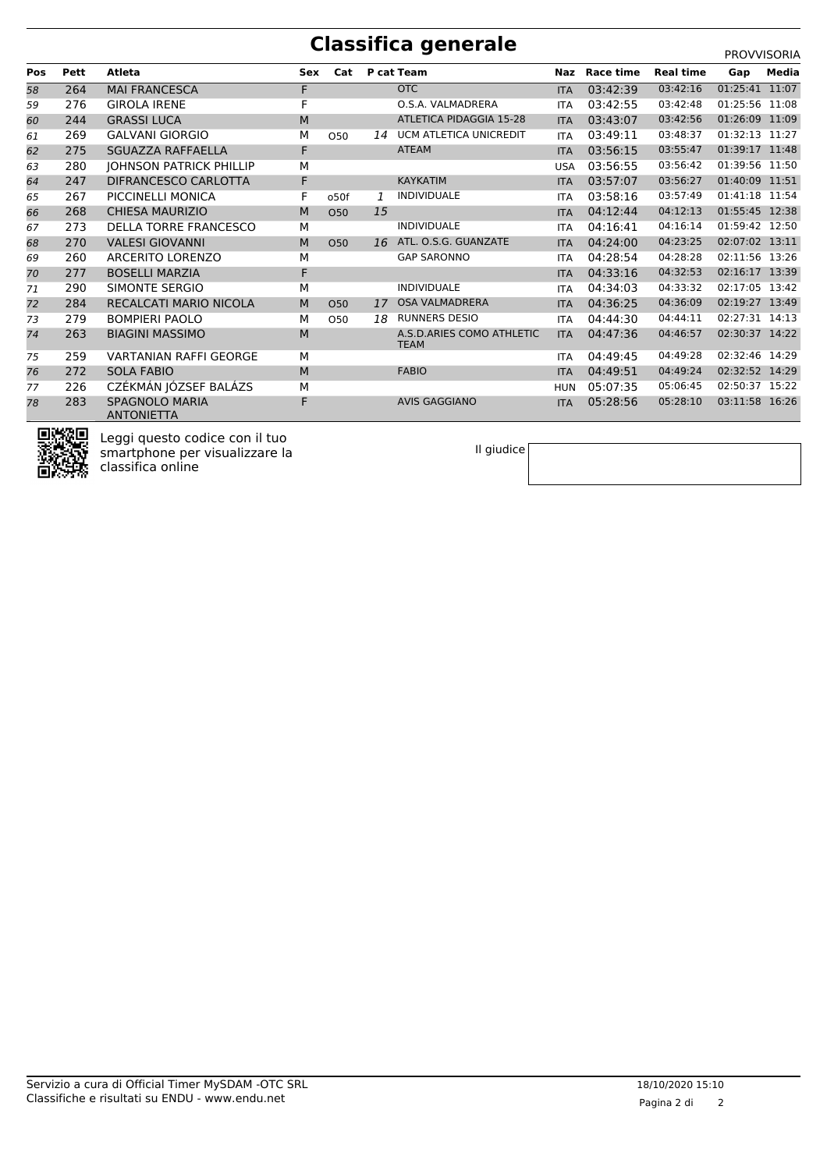## **Classifica generale** PROVISORIA

**Pos Pett Atleta Sex Cat P cat Team Naz Race time Real time Gap Media** 264 MAI FRANCESCA F OTC ITA 03:42:39 03:42:16 01:25:41 11:07 276 GIROLA IRENE F O.S.A. VALMADRERA ITA 03:42:55 03:42:48 01:25:56 11:08 244 GRASSI LUCA M ATLETICA PIDAGGIA 15-28 ITA 03:43:07 03:42:56 01:26:09 11:09 269 GALVANI GIORGIO M O50 *14* UCM ATLETICA UNICREDIT ITA 03:49:11 03:48:37 01:32:13 11:27 275 SGUAZZA RAFFAELLA F ATEAM ITA 03:56:15 03:55:47 01:39:17 11:48 280 JOHNSON PATRICK PHILLIP M USA 03:56:55 03:56:42 01:39:56 11:50 247 DIFRANCESCO CARLOTTA F KAYKATIM ITA 03:57:07 03:56:27 01:40:09 11:51 267 PICCINELLI MONICA F o50f *1* INDIVIDUALE ITA 03:58:16 03:57:49 01:41:18 11:54 268 CHIESA MAURIZIO M O50 *15* ITA 04:12:44 04:12:13 01:55:45 12:38 273 DELLA TORRE FRANCESCO M INDIVIDUALE ITA 04:16:41 04:16:14 01:59:42 12:50 270 VALESI GIOVANNI M O50 *16* ATL. O.S.G. GUANZATE ITA 04:24:00 04:23:25 02:07:02 13:11 260 ARCERITO LORENZO M GAP SARONNO ITA 04:28:54 04:28:28 02:11:56 13:26 277 BOSELLI MARZIA F ITA 04:33:16 04:32:53 02:16:17 13:39 290 SIMONTE SERGIO M INDIVIDUALE ITA 04:34:03 04:33:32 02:17:05 13:42 72 284 RECALCATI MARIO NICOLA M 050 17 OSA VALMADRERA ITA 04:36:25 04:36:09 279 BOMPIERI PAOLO M O50 *18* RUNNERS DESIO ITA 04:44:30 04:44:11 02:27:31 14:13 BIAGINI MASSIMO M A.S.D.ARIES COMO ATHLETIC ITA 04:47:36 04:46:57 02:30:37 14:22 **TEAM**  259 VARTANIAN RAFFI GEORGE M ITA 04:49:45 04:49:28 02:32:46 14:29 272 SOLA FABIO M FABIO ITA 04:49:51 04:49:24 02:32:52 14:29 226 CZÉKMÁN JÓZSEF BALÁZS M HUN 05:07:35 05:06:45 02:50:37 15:22 SPAGNOLO MARIA F AVIS GAGGIANO ITA 05:28:56 05:28:10 03:11:58 16:26 **ANTONIETTA** 



Leggi questo codice con il tuo smartphone per visualizzare la classifica online

Il giudice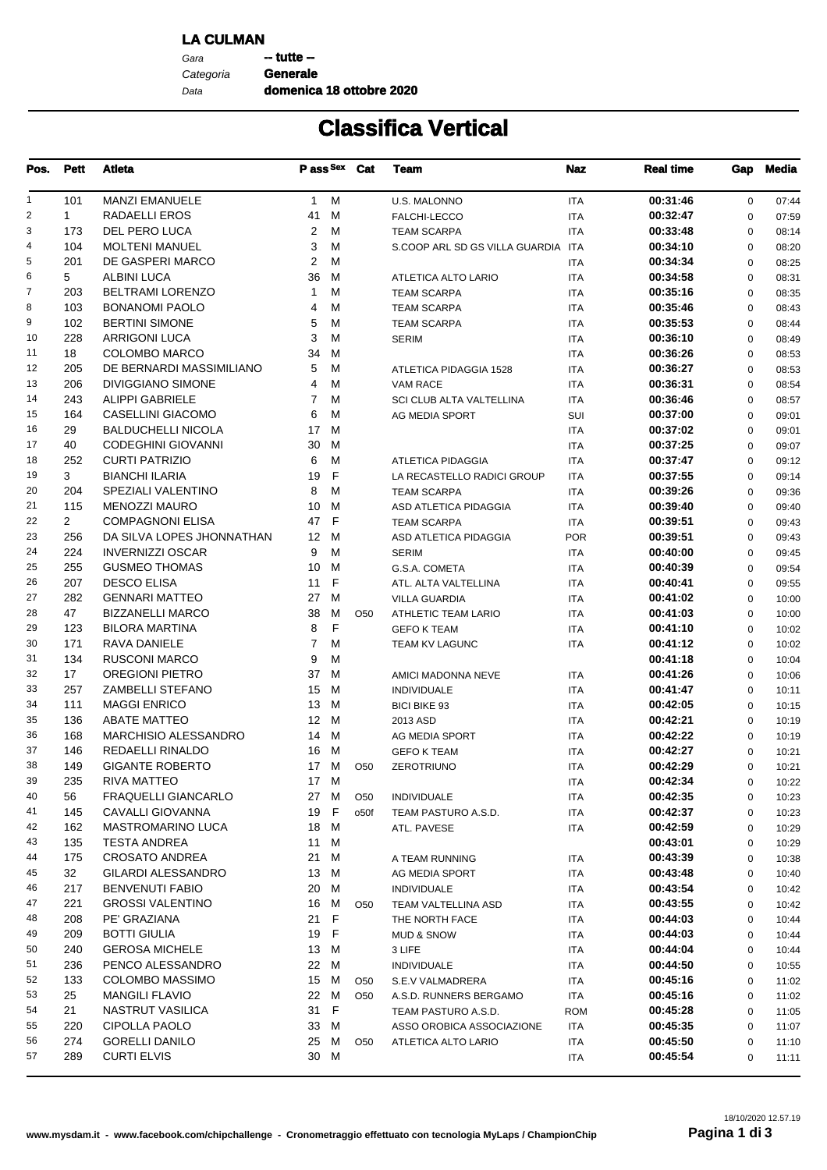#### **LA CULMAN**

Gara **--- tutte --**Data Categoria **Generale**

**domenica 18 ottobre 2020**

# **Classifica Vertical**

| Pos.           | <b>Pett</b>    | Atleta                      |              |              | Pass Sex Cat    | Team                               | <b>Naz</b> | <b>Real time</b> | Gap         | Media |
|----------------|----------------|-----------------------------|--------------|--------------|-----------------|------------------------------------|------------|------------------|-------------|-------|
| $\mathbf{1}$   | 101            | <b>MANZI EMANUELE</b>       | $\mathbf{1}$ | M            |                 | <b>U.S. MALONNO</b>                | <b>ITA</b> | 00:31:46         | $\mathbf 0$ | 07:44 |
| $\overline{2}$ | $\mathbf{1}$   | RADAELLI EROS               | 41           | м            |                 | FALCHI-LECCO                       | <b>ITA</b> | 00:32:47         | $\mathbf 0$ | 07:59 |
| 3              | 173            | DEL PERO LUCA               | 2            | м            |                 | <b>TEAM SCARPA</b>                 | ITA        | 00:33:48         | $\mathbf 0$ | 08:14 |
| 4              | 104            | <b>MOLTENI MANUEL</b>       | 3            | М            |                 | S.COOP ARL SD GS VILLA GUARDIA ITA |            | 00:34:10         | $\mathbf 0$ | 08:20 |
| 5              | 201            | DE GASPERI MARCO            | 2            | М            |                 |                                    | <b>ITA</b> | 00:34:34         | $\mathbf 0$ | 08:25 |
| 6              | 5              | <b>ALBINI LUCA</b>          | 36           | м            |                 | ATLETICA ALTO LARIO                | ITA        | 00:34:58         | $\mathbf 0$ | 08:31 |
| 7              | 203            | <b>BELTRAMI LORENZO</b>     | 1            | М            |                 | <b>TEAM SCARPA</b>                 | <b>ITA</b> | 00:35:16         | $\mathbf 0$ | 08:35 |
| 8              | 103            | <b>BONANOMI PAOLO</b>       | 4            | м            |                 | <b>TEAM SCARPA</b>                 | <b>ITA</b> | 00:35:46         | $\mathbf 0$ | 08:43 |
| 9              | 102            | <b>BERTINI SIMONE</b>       | 5            | М            |                 | <b>TEAM SCARPA</b>                 | <b>ITA</b> | 00:35:53         | $\mathbf 0$ | 08:44 |
| 10             | 228            | <b>ARRIGONI LUCA</b>        | 3            | М            |                 | <b>SERIM</b>                       | <b>ITA</b> | 00:36:10         | $\mathbf 0$ | 08:49 |
| 11             | 18             | <b>COLOMBO MARCO</b>        | 34           | м            |                 |                                    | <b>ITA</b> | 00:36:26         | $\mathbf 0$ | 08:53 |
| 12             | 205            | DE BERNARDI MASSIMILIANO    | 5            | м            |                 | ATLETICA PIDAGGIA 1528             | <b>ITA</b> | 00:36:27         | $\mathbf 0$ | 08:53 |
| 13             | 206            | <b>DIVIGGIANO SIMONE</b>    | 4            | М            |                 | VAM RACE                           | <b>ITA</b> | 00:36:31         | $\mathbf 0$ | 08:54 |
| 14             | 243            | <b>ALIPPI GABRIELE</b>      | 7            | м            |                 | SCI CLUB ALTA VALTELLINA           | <b>ITA</b> | 00:36:46         | $\mathbf 0$ | 08:57 |
| 15             | 164            | CASELLINI GIACOMO           | 6            | М            |                 | AG MEDIA SPORT                     | SUI        | 00:37:00         | $\mathbf 0$ | 09:01 |
| 16             | 29             | <b>BALDUCHELLI NICOLA</b>   | 17           | м            |                 |                                    | <b>ITA</b> | 00:37:02         | $\mathbf 0$ | 09:01 |
| 17             | 40             | <b>CODEGHINI GIOVANNI</b>   | 30           | м            |                 |                                    | <b>ITA</b> | 00:37:25         | $\mathbf 0$ | 09:07 |
| 18             | 252            | <b>CURTI PATRIZIO</b>       | 6            | м            |                 | <b>ATLETICA PIDAGGIA</b>           | <b>ITA</b> | 00:37:47         | $\mathbf 0$ | 09:12 |
| 19             | 3              | <b>BIANCHI ILARIA</b>       | 19           | F            |                 | LA RECASTELLO RADICI GROUP         | <b>ITA</b> | 00:37:55         | $\mathbf 0$ | 09:14 |
| 20             | 204            | SPEZIALI VALENTINO          | 8            | м            |                 | <b>TEAM SCARPA</b>                 | <b>ITA</b> | 00:39:26         | $\mathbf 0$ | 09:36 |
| 21             | 115            | <b>MENOZZI MAURO</b>        | 10           | м            |                 | ASD ATLETICA PIDAGGIA              | <b>ITA</b> | 00:39:40         | $\mathbf 0$ | 09:40 |
| 22             | $\overline{2}$ | <b>COMPAGNONI ELISA</b>     | 47           | F            |                 | <b>TEAM SCARPA</b>                 | <b>ITA</b> | 00:39:51         | $\mathbf 0$ | 09:43 |
| 23             | 256            | DA SILVA LOPES JHONNATHAN   | 12 M         |              |                 | ASD ATLETICA PIDAGGIA              | <b>POR</b> | 00:39:51         | $\mathbf 0$ | 09:43 |
| 24             | 224            | <b>INVERNIZZI OSCAR</b>     | 9            | м            |                 | <b>SERIM</b>                       | ITA        | 00:40:00         | $\mathbf 0$ | 09:45 |
| 25             | 255            | <b>GUSMEO THOMAS</b>        | 10           | м            |                 | G.S.A. COMETA                      | <b>ITA</b> | 00:40:39         | $\mathbf 0$ | 09:54 |
| 26             | 207            | <b>DESCO ELISA</b>          | 11           | F            |                 | ATL. ALTA VALTELLINA               | <b>ITA</b> | 00:40:41         | $\mathbf 0$ | 09:55 |
| 27             | 282            | <b>GENNARI MATTEO</b>       | 27           | м            |                 | <b>VILLA GUARDIA</b>               | ITA        | 00:41:02         | $\mathbf 0$ | 10:00 |
| 28             | 47             | <b>BIZZANELLI MARCO</b>     | 38           | м            | O <sub>50</sub> | <b>ATHLETIC TEAM LARIO</b>         | ITA        | 00:41:03         | $\mathbf 0$ | 10:00 |
| 29             | 123            | <b>BILORA MARTINA</b>       | 8            | F            |                 | <b>GEFO K TEAM</b>                 | <b>ITA</b> | 00:41:10         | $\mathbf 0$ | 10:02 |
| 30             | 171            | RAVA DANIELE                | 7            | м            |                 | TEAM KV LAGUNC                     | <b>ITA</b> | 00:41:12         | $\mathbf 0$ | 10:02 |
| 31             | 134            | <b>RUSCONI MARCO</b>        | 9            | М            |                 |                                    |            | 00:41:18         | $\mathbf 0$ | 10:04 |
| 32             | 17             | <b>OREGIONI PIETRO</b>      | 37           | м            |                 | AMICI MADONNA NEVE                 | <b>ITA</b> | 00:41:26         | $\mathbf 0$ | 10:06 |
| 33             | 257            | ZAMBELLI STEFANO            | 15           | M            |                 | <b>INDIVIDUALE</b>                 | ITA        | 00:41:47         | $\mathbf 0$ | 10:11 |
| 34             | 111            | <b>MAGGI ENRICO</b>         | 13           | м            |                 | <b>BICI BIKE 93</b>                | <b>ITA</b> | 00:42:05         | $\mathbf 0$ | 10:15 |
| 35             | 136            | <b>ABATE MATTEO</b>         | 12           | M            |                 | 2013 ASD                           | <b>ITA</b> | 00:42:21         | $\mathbf 0$ | 10:19 |
| 36             | 168            | <b>MARCHISIO ALESSANDRO</b> | 14           | м            |                 | AG MEDIA SPORT                     | ITA        | 00:42:22         | $\mathbf 0$ | 10:19 |
| 37             | 146            | REDAELLI RINALDO            | 16           | м            |                 | <b>GEFO K TEAM</b>                 | <b>ITA</b> | 00:42:27         | $\mathbf 0$ | 10:21 |
| 38             | 149            | <b>GIGANTE ROBERTO</b>      | 17 M         |              | O <sub>50</sub> | <b>ZEROTRIUNO</b>                  | <b>ITA</b> | 00:42:29         | $\mathbf 0$ | 10:21 |
| 39             | 235            | <b>RIVA MATTEO</b>          | 17           | M            |                 |                                    | <b>ITA</b> | 00:42:34         | $\pmb{0}$   | 10:22 |
| 40             | 56             | FRAQUELLI GIANCARLO         | 27           | M            | O <sub>50</sub> | <b>INDIVIDUALE</b>                 | ITA        | 00:42:35         | 0           | 10:23 |
| 41             | 145            | <b>CAVALLI GIOVANNA</b>     | 19           | $\mathsf{F}$ | o50f            | TEAM PASTURO A.S.D.                | ITA        | 00:42:37         | 0           | 10:23 |
| 42             | 162            | MASTROMARINO LUCA           | 18 M         |              |                 | ATL. PAVESE                        | ITA        | 00:42:59         | 0           | 10:29 |
| 43             | 135            | <b>TESTA ANDREA</b>         | 11           | м            |                 |                                    |            | 00:43:01         | 0           | 10:29 |
| 44             | 175            | CROSATO ANDREA              | 21           | M            |                 | A TEAM RUNNING                     | ITA        | 00:43:39         | 0           | 10:38 |
| 45             | 32             | <b>GILARDI ALESSANDRO</b>   | 13 M         |              |                 | AG MEDIA SPORT                     | ITA        | 00:43:48         | 0           | 10:40 |
| 46             | 217            | <b>BENVENUTI FABIO</b>      | 20           | м            |                 | <b>INDIVIDUALE</b>                 | ITA        | 00:43:54         | 0           | 10:42 |
| 47             | 221            | <b>GROSSI VALENTINO</b>     | 16 M         |              | O <sub>50</sub> | TEAM VALTELLINA ASD                | ITA        | 00:43:55         | 0           | 10:42 |
| 48             | 208            | PE' GRAZIANA                | 21           | F            |                 | THE NORTH FACE                     | ITA        | 00:44:03         | $\pmb{0}$   | 10:44 |
| 49             | 209            | <b>BOTTI GIULIA</b>         | 19           | F            |                 | <b>MUD &amp; SNOW</b>              | ITA        | 00:44:03         | $\pmb{0}$   | 10:44 |
| 50             | 240            | <b>GEROSA MICHELE</b>       | 13 M         |              |                 | 3 LIFE                             | ITA        | 00:44:04         | $\pmb{0}$   | 10:44 |
| 51             | 236            | PENCO ALESSANDRO            | 22 M         |              |                 | <b>INDIVIDUALE</b>                 | ITA        | 00:44:50         | $\pmb{0}$   | 10:55 |
| 52             | 133            | COLOMBO MASSIMO             | 15           | м            | O <sub>50</sub> | S.E.V VALMADRERA                   | ITA        | 00:45:16         | $\pmb{0}$   | 11:02 |
| 53             | 25             | <b>MANGILI FLAVIO</b>       | 22 M         |              | O <sub>50</sub> | A.S.D. RUNNERS BERGAMO             | ITA        | 00:45:16         | 0           | 11:02 |
| 54             | 21             | NASTRUT VASILICA            | 31           | F            |                 | TEAM PASTURO A.S.D.                | <b>ROM</b> | 00:45:28         | $\mathbf 0$ | 11:05 |
| 55             | 220            | CIPOLLA PAOLO               | 33           | M            |                 | ASSO OROBICA ASSOCIAZIONE          | ITA        | 00:45:35         | $\mathbf 0$ | 11:07 |
| 56             | 274            | <b>GORELLI DANILO</b>       | 25           | M            | O <sub>50</sub> | ATLETICA ALTO LARIO                | ITA        | 00:45:50         | $\pmb{0}$   | 11:10 |
| 57             | 289            | <b>CURTI ELVIS</b>          | 30 M         |              |                 |                                    | <b>ITA</b> | 00:45:54         | 0           | 11:11 |
|                |                |                             |              |              |                 |                                    |            |                  |             |       |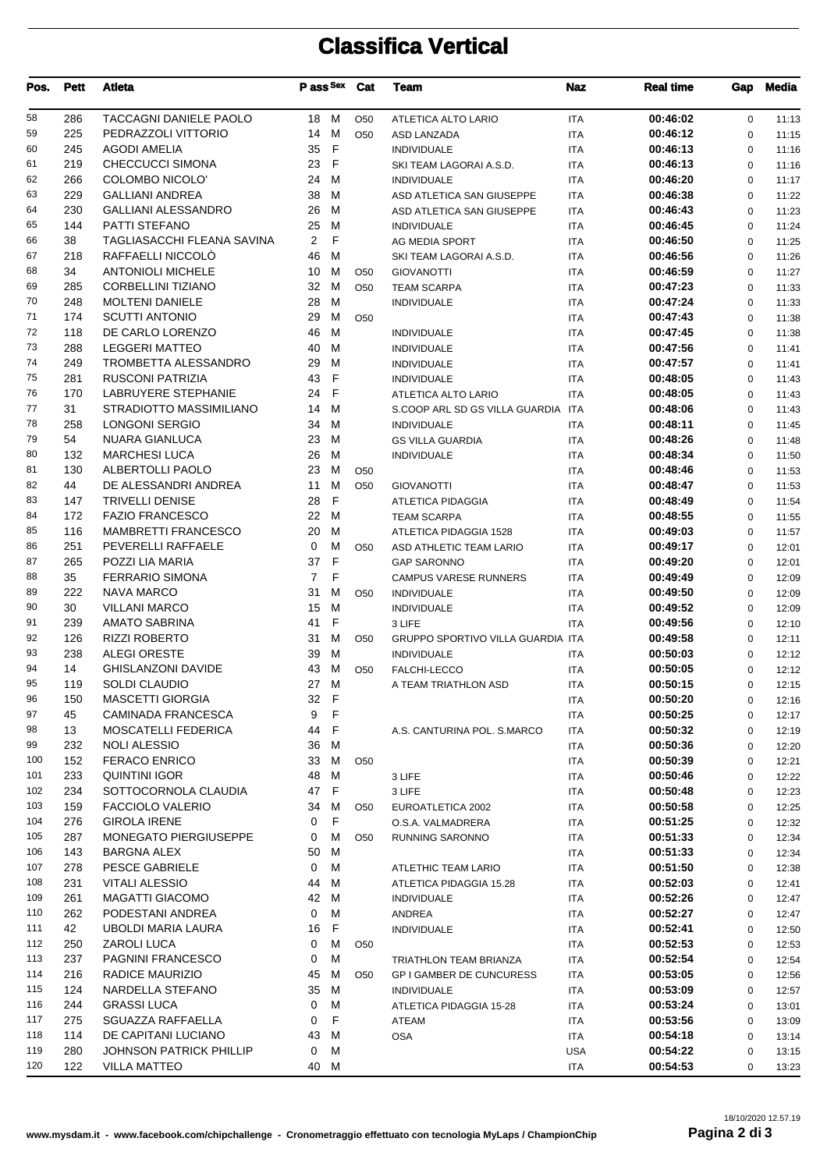# **Classifica Vertical**

| Pos.     | <b>Pett</b> | Atleta                                       | P ass Sex          |              | Cat             | Team                                                    | <b>Naz</b> | <b>Real time</b>     | Gap                        | <b>Media</b>   |
|----------|-------------|----------------------------------------------|--------------------|--------------|-----------------|---------------------------------------------------------|------------|----------------------|----------------------------|----------------|
| 58       | 286         | TACCAGNI DANIELE PAOLO                       | 18 M               |              | O <sub>50</sub> | ATLETICA ALTO LARIO                                     | <b>ITA</b> | 00:46:02             | $\mathbf 0$                | 11:13          |
| 59       | 225         | PEDRAZZOLI VITTORIO                          | 14                 | M            | O <sub>50</sub> | ASD LANZADA                                             | <b>ITA</b> | 00:46:12             | $\mathbf 0$                | 11:15          |
| 60       | 245         | <b>AGODI AMELIA</b>                          | 35                 | F            |                 | <b>INDIVIDUALE</b>                                      | <b>ITA</b> | 00:46:13             | $\mathbf 0$                | 11:16          |
| 61       | 219         | CHECCUCCI SIMONA                             | 23                 | F            |                 | SKI TEAM LAGORAI A.S.D.                                 | <b>ITA</b> | 00:46:13             | $\mathbf 0$                | 11:16          |
| 62       | 266         | COLOMBO NICOLO'                              | 24                 | м            |                 | <b>INDIVIDUALE</b>                                      | <b>ITA</b> | 00:46:20             | $\mathbf 0$                | 11:17          |
| 63       | 229         | <b>GALLIANI ANDREA</b>                       | 38                 | м            |                 | ASD ATLETICA SAN GIUSEPPE                               | <b>ITA</b> | 00:46:38             | $\mathbf 0$                | 11:22          |
| 64       | 230         | <b>GALLIANI ALESSANDRO</b>                   | 26                 | м            |                 | ASD ATLETICA SAN GIUSEPPE                               | <b>ITA</b> | 00:46:43             | $\mathbf 0$                | 11:23          |
| 65       | 144         | PATTI STEFANO                                | 25                 | M            |                 | <b>INDIVIDUALE</b>                                      | <b>ITA</b> | 00:46:45             | $\mathbf 0$                | 11:24          |
| 66       | 38          | TAGLIASACCHI FLEANA SAVINA                   | $\overline{2}$     | F            |                 | AG MEDIA SPORT                                          | <b>ITA</b> | 00:46:50             | $\mathbf 0$                | 11:25          |
| 67       | 218         | RAFFAELLI NICCOLÒ                            | 46                 | M            |                 | SKI TEAM LAGORAI A.S.D.                                 | <b>ITA</b> | 00:46:56             | $\mathbf 0$                | 11:26          |
| 68       | 34          | <b>ANTONIOLI MICHELE</b>                     | 10                 | м            | O <sub>50</sub> | <b>GIOVANOTTI</b>                                       | <b>ITA</b> | 00:46:59             | $\mathbf 0$                | 11:27          |
| 69       | 285         | CORBELLINI TIZIANO                           | 32                 | M            | O <sub>50</sub> | <b>TEAM SCARPA</b>                                      | <b>ITA</b> | 00:47:23             | $\mathbf 0$                | 11:33          |
| 70       | 248         | <b>MOLTENI DANIELE</b>                       | 28                 | M            |                 | <b>INDIVIDUALE</b>                                      | <b>ITA</b> | 00:47:24             | $\mathbf 0$                | 11:33          |
| 71       | 174         | <b>SCUTTI ANTONIO</b>                        | 29                 | M            | O <sub>50</sub> |                                                         | <b>ITA</b> | 00:47:43             | $\mathbf 0$                | 11:38          |
| 72       | 118         | DE CARLO LORENZO                             | 46                 | M            |                 | <b>INDIVIDUALE</b>                                      | <b>ITA</b> | 00:47:45             | $\mathbf 0$                | 11:38          |
| 73       | 288         | <b>LEGGERI MATTEO</b>                        | 40                 | M            |                 | <b>INDIVIDUALE</b>                                      | <b>ITA</b> | 00:47:56             | $\mathbf 0$                | 11:41          |
| 74       | 249         | TROMBETTA ALESSANDRO                         | 29                 | M            |                 | <b>INDIVIDUALE</b>                                      | <b>ITA</b> | 00:47:57             | $\mathbf 0$                | 11:41          |
| 75       | 281         | <b>RUSCONI PATRIZIA</b>                      | 43                 | F            |                 | <b>INDIVIDUALE</b>                                      | <b>ITA</b> | 00:48:05             | $\mathbf 0$                | 11:43          |
| 76       | 170         | <b>LABRUYERE STEPHANIE</b>                   | 24                 | F            |                 | ATLETICA ALTO LARIO                                     | <b>ITA</b> | 00:48:05             | $\mathbf 0$                | 11:43          |
| 77       | 31          | STRADIOTTO MASSIMILIANO                      | 14                 | M            |                 | S.COOP ARL SD GS VILLA GUARDIA ITA                      |            | 00:48:06             | $\mathbf 0$                | 11:43          |
| 78       | 258         | <b>LONGONI SERGIO</b>                        | 34                 | M            |                 | <b>INDIVIDUALE</b>                                      | <b>ITA</b> | 00:48:11             | $\mathbf 0$                | 11:45          |
| 79       | 54          | <b>NUARA GIANLUCA</b>                        | 23                 | M            |                 | <b>GS VILLA GUARDIA</b>                                 | <b>ITA</b> | 00:48:26             | $\mathbf 0$                | 11:48          |
| 80       | 132         | <b>MARCHESI LUCA</b>                         | 26                 | м            |                 | <b>INDIVIDUALE</b>                                      | <b>ITA</b> | 00:48:34             | $\mathbf 0$                | 11:50          |
| 81       | 130         | ALBERTOLLI PAOLO                             | 23                 | м            | O <sub>50</sub> |                                                         | <b>ITA</b> | 00:48:46             | $\mathbf 0$                | 11:53          |
| 82       | 44          | DE ALESSANDRI ANDREA                         | 11                 | M            | O <sub>50</sub> | <b>GIOVANOTTI</b>                                       | <b>ITA</b> | 00:48:47             | $\mathbf 0$                | 11:53          |
| 83       | 147         | <b>TRIVELLI DENISE</b>                       | 28                 | $\mathsf{F}$ |                 | <b>ATLETICA PIDAGGIA</b>                                | <b>ITA</b> | 00:48:49             | $\mathbf 0$                | 11:54          |
| 84       | 172         | <b>FAZIO FRANCESCO</b>                       | 22                 | M            |                 | <b>TEAM SCARPA</b>                                      | <b>ITA</b> | 00:48:55             | $\mathbf 0$                | 11:55          |
| 85       | 116         | <b>MAMBRETTI FRANCESCO</b>                   | 20                 | M            |                 | ATLETICA PIDAGGIA 1528                                  | <b>ITA</b> | 00:49:03             | $\mathbf 0$                | 11:57          |
| 86       | 251         | PEVERELLI RAFFAELE                           | 0                  | м            | O <sub>50</sub> | ASD ATHLETIC TEAM LARIO                                 | <b>ITA</b> | 00:49:17             | $\mathbf 0$                | 12:01          |
| 87       | 265         | POZZI LIA MARIA                              | 37                 | $\mathsf{F}$ |                 | <b>GAP SARONNO</b>                                      | <b>ITA</b> | 00:49:20             | $\mathbf 0$                | 12:01          |
| 88       | 35          | <b>FERRARIO SIMONA</b>                       | $\overline{7}$     | F            |                 | <b>CAMPUS VARESE RUNNERS</b>                            | <b>ITA</b> | 00:49:49             | $\mathbf 0$                | 12:09          |
| 89<br>90 | 222         | <b>NAVA MARCO</b><br><b>VILLANI MARCO</b>    | 31                 | м<br>M       | O <sub>50</sub> | <b>INDIVIDUALE</b>                                      | <b>ITA</b> | 00:49:50             | $\mathbf 0$                | 12:09          |
|          | 30          |                                              | 15                 | F            |                 | <b>INDIVIDUALE</b>                                      | <b>ITA</b> | 00:49:52             | $\mathbf 0$                | 12:09          |
| 91<br>92 | 239<br>126  | <b>AMATO SABRINA</b><br><b>RIZZI ROBERTO</b> | 41<br>31           | M            |                 | 3 LIFE                                                  | <b>ITA</b> | 00:49:56<br>00:49:58 | $\mathbf 0$                | 12:10          |
| 93       | 238         | <b>ALEGI ORESTE</b>                          | 39                 | м            | O <sub>50</sub> | GRUPPO SPORTIVO VILLA GUARDIA ITA<br><b>INDIVIDUALE</b> | <b>ITA</b> | 00:50:03             | $\mathbf 0$<br>$\mathbf 0$ | 12:11<br>12:12 |
| 94       | 14          | <b>GHISLANZONI DAVIDE</b>                    | 43                 | м            | O <sub>50</sub> | FALCHI-LECCO                                            | <b>ITA</b> | 00:50:05             | $\Omega$                   | 12:12          |
| 95       | 119         | <b>SOLDI CLAUDIO</b>                         | 27                 | M            |                 | A TEAM TRIATHLON ASD                                    | <b>ITA</b> | 00:50:15             | 0                          | 12:15          |
| 96       | 150         | MASCETTI GIORGIA                             | 32<br>$\mathsf{F}$ |              |                 |                                                         | <b>ITA</b> | 00:50:20             | 0                          | 12:16          |
| 97       | 45          | <b>CAMINADA FRANCESCA</b>                    | 9                  | F            |                 |                                                         | <b>ITA</b> | 00:50:25             | 0                          | 12:17          |
| 98       | 13          | MOSCATELLI FEDERICA                          | 44                 | $\mathsf F$  |                 | A.S. CANTURINA POL. S.MARCO                             | <b>ITA</b> | 00:50:32             | 0                          | 12:19          |
| 99       | 232         | <b>NOLI ALESSIO</b>                          | 36                 | M            |                 |                                                         | <b>ITA</b> | 00:50:36             | $\mathbf 0$                | 12:20          |
| 100      | 152         | <b>FERACO ENRICO</b>                         | 33                 | м            | O <sub>50</sub> |                                                         | <b>ITA</b> | 00:50:39             | 0                          | 12:21          |
| 101      | 233         | <b>QUINTINI IGOR</b>                         | 48                 | м            |                 | 3 LIFE                                                  | <b>ITA</b> | 00:50:46             | 0                          | 12:22          |
| 102      | 234         | SOTTOCORNOLA CLAUDIA                         | 47                 | F            |                 | 3 LIFE                                                  | <b>ITA</b> | 00:50:48             | 0                          | 12:23          |
| 103      | 159         | <b>FACCIOLO VALERIO</b>                      | 34                 | M            | O <sub>50</sub> | EUROATLETICA 2002                                       | <b>ITA</b> | 00:50:58             | $\mathbf 0$                | 12:25          |
| 104      | 276         | <b>GIROLA IRENE</b>                          | 0                  | F            |                 | O.S.A. VALMADRERA                                       | <b>ITA</b> | 00:51:25             | $\mathbf 0$                | 12:32          |
| 105      | 287         | MONEGATO PIERGIUSEPPE                        | 0                  | м            | O <sub>50</sub> | <b>RUNNING SARONNO</b>                                  | <b>ITA</b> | 00:51:33             | 0                          | 12:34          |
| 106      | 143         | <b>BARGNA ALEX</b>                           | 50                 | м            |                 |                                                         | <b>ITA</b> | 00:51:33             | $\mathbf 0$                | 12:34          |
| 107      | 278         | PESCE GABRIELE                               | 0                  | М            |                 | <b>ATLETHIC TEAM LARIO</b>                              | <b>ITA</b> | 00:51:50             | 0                          | 12:38          |
| 108      | 231         | VITALI ALESSIO                               | 44                 | M            |                 | ATLETICA PIDAGGIA 15.28                                 | <b>ITA</b> | 00:52:03             | 0                          | 12:41          |
| 109      | 261         | <b>MAGATTI GIACOMO</b>                       | 42                 | M            |                 | <b>INDIVIDUALE</b>                                      | <b>ITA</b> | 00:52:26             | 0                          | 12:47          |
| 110      | 262         | PODESTANI ANDREA                             | 0                  | м            |                 | ANDREA                                                  | <b>ITA</b> | 00:52:27             | 0                          | 12:47          |
| 111      | 42          | UBOLDI MARIA LAURA                           | 16                 | F            |                 | <b>INDIVIDUALE</b>                                      | <b>ITA</b> | 00:52:41             | 0                          | 12:50          |
| 112      | 250         | ZAROLI LUCA                                  | 0                  | м            | O <sub>50</sub> |                                                         | <b>ITA</b> | 00:52:53             | $\mathbf 0$                | 12:53          |
| 113      | 237         | PAGNINI FRANCESCO                            | 0                  | M            |                 | <b>TRIATHLON TEAM BRIANZA</b>                           | <b>ITA</b> | 00:52:54             | 0                          | 12:54          |
| 114      | 216         | RADICE MAURIZIO                              | 45                 | M            | O <sub>50</sub> | <b>GP I GAMBER DE CUNCURESS</b>                         | <b>ITA</b> | 00:53:05             | 0                          | 12:56          |
| 115      | 124         | NARDELLA STEFANO                             | 35                 | м            |                 | <b>INDIVIDUALE</b>                                      | <b>ITA</b> | 00:53:09             | $\mathbf 0$                | 12:57          |
| 116      | 244         | <b>GRASSI LUCA</b>                           | 0                  | M            |                 | ATLETICA PIDAGGIA 15-28                                 | <b>ITA</b> | 00:53:24             | $\mathbf 0$                | 13:01          |
| 117      | 275         | SGUAZZA RAFFAELLA                            | 0                  | F            |                 | <b>ATEAM</b>                                            | <b>ITA</b> | 00:53:56             | 0                          | 13:09          |
| 118      | 114         | DE CAPITANI LUCIANO                          | 43                 | м            |                 | <b>OSA</b>                                              | <b>ITA</b> | 00:54:18             | $\mathbf 0$                | 13:14          |
| 119      | 280         | <b>JOHNSON PATRICK PHILLIP</b>               | 0                  | М            |                 |                                                         | <b>USA</b> | 00:54:22             | 0                          | 13:15          |
| 120      | 122         | <b>VILLA MATTEO</b>                          | 40 M               |              |                 |                                                         | <b>ITA</b> | 00:54:53             | 0                          | 13:23          |